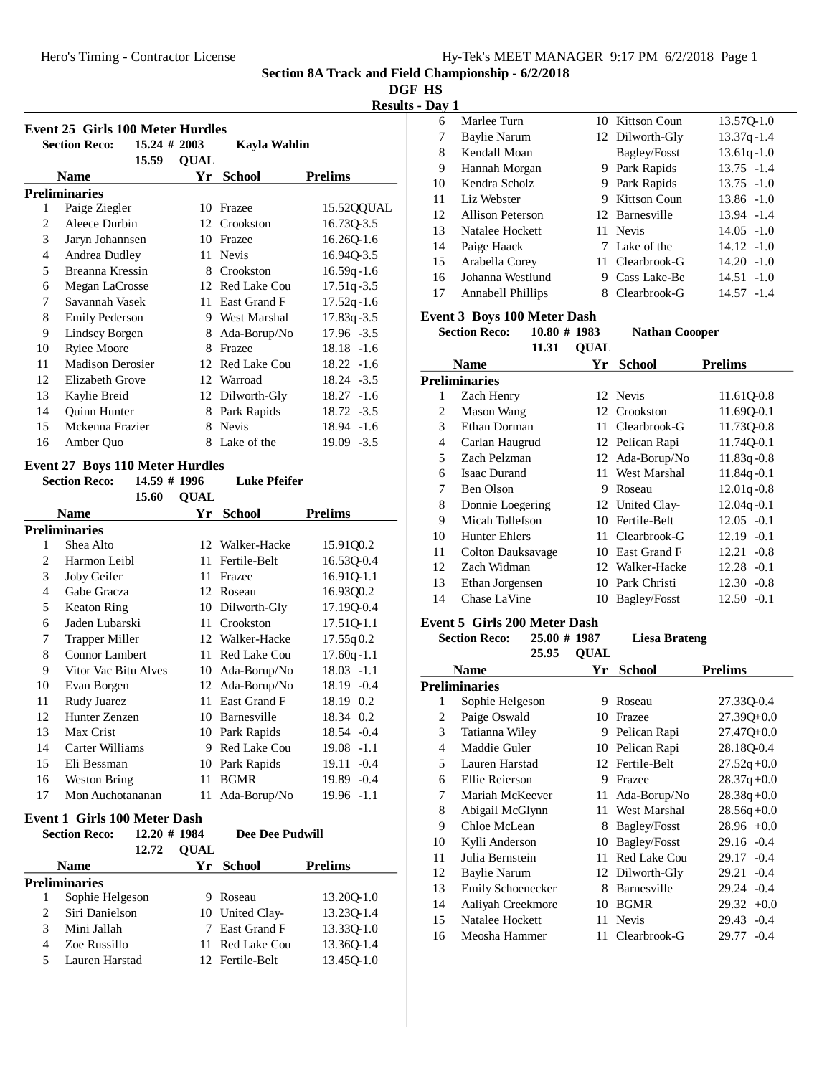**Section 8A Track and Field Championship - 6/2/2018**

**DGF HS**

**Results - Day 1**

|                | <b>Event 25 Girls 100 Meter Hurdles</b><br><b>Section Reco:</b><br>15.59 | $15.24 \# 2003$<br><b>OUAL</b> | Kavla Wahlin              |                          | Marlee Turn<br>6<br>7<br>Baylie Narum<br>8<br>Kendall Moan |                        |
|----------------|--------------------------------------------------------------------------|--------------------------------|---------------------------|--------------------------|------------------------------------------------------------|------------------------|
|                | <b>Name</b>                                                              |                                | Yr School                 | <b>Prelims</b>           | 9<br>Hannah Morgan                                         |                        |
|                | <b>Preliminaries</b>                                                     |                                |                           |                          | 10<br>Kendra Scholz                                        |                        |
|                | Paige Ziegler                                                            |                                | 10 Frazee                 | 15.52QQUAL               | Liz Webster<br>11<br>12<br>Allison Peterson                |                        |
| 2<br>3         | Aleece Durbin<br>Jaryn Johannsen                                         |                                | 12 Crookston<br>10 Frazee | 16.73Q-3.5<br>16.26Q-1.6 | 13<br>Natalee Hockett<br>14<br>Paige Haack                 |                        |
| $\overline{4}$ | Andrea Dudley                                                            |                                | 11 Nevis                  | 16.94Q-3.5               | 15<br>Arabella Corey                                       |                        |
| 5              | Breanna Kressin                                                          |                                | 8 Crookston               | $16.59q - 1.6$           | 16<br>Johanna Westlund                                     |                        |
| 6              | Megan LaCrosse                                                           |                                | 12 Red Lake Cou           | $17.51q - 3.5$           | 17<br>Annabell Phillips                                    |                        |
| 7              | Savannah Vasek                                                           | 11                             | East Grand F              | $17.52q - 1.6$           |                                                            |                        |
| 8              | <b>Emily Pederson</b>                                                    | 9.                             | West Marshal              | $17.83q - 3.5$           | <b>Event 3 Boys 100 Meter Dash</b>                         |                        |
| 9              | Lindsey Borgen                                                           |                                | 8 Ada-Borup/No            | $17.96 - 3.5$            | <b>Section Reco:</b><br>$10.80 \# 1983$                    |                        |
| 10             | <b>Rylee Moore</b>                                                       | 8.                             | Frazee                    | 18.18 -1.6               | 11.31                                                      | $\overline{\text{OU}}$ |
| 11             | <b>Madison Derosier</b>                                                  |                                | 12 Red Lake Cou           | $18.22 - 1.6$            | <b>Name</b>                                                | ì                      |
| 12             | Elizabeth Grove                                                          |                                | 12 Warroad                | 18.24 -3.5               | Preliminaries                                              |                        |

#### 11 Madison Derosier 12 Elizabeth Grove 13 Kaylie Breid<br>14 Quinn Hunter 12 Dilworth-Gly<br>18.27 -1.6<br>18.72 -3.5 14 Quinn Hunter 8 Park Rapids 18.72 -3.5 15 Mckenna Frazier 8 Nevis 18.94 -1.6 16 Amber Quo 8 Lake of the 19.09 -3.5

#### **Event 27 Boys 110 Meter Hurdles**

|                               | <b>Section Reco:</b>  | <b>Luke Pfeifer</b><br>14.59 # 1996 |                     |                 |
|-------------------------------|-----------------------|-------------------------------------|---------------------|-----------------|
|                               | 15.60                 | <b>OUAL</b>                         |                     |                 |
|                               | Name                  | Yr                                  | School              | Prelims         |
|                               | <b>Preliminaries</b>  |                                     |                     |                 |
| 1                             | Shea Alto             | 12                                  | Walker-Hacke        | 15.91Q0.2       |
| $\mathfrak{D}_{\mathfrak{p}}$ | Harmon Leibl          | 11                                  | Fertile-Belt        | 16.53Q-0.4      |
| 3                             | Joby Geifer           | 11                                  | Frazee              | 16.91Q-1.1      |
| 4                             | Gabe Gracza           | 12                                  | Roseau              | 16.93Q0.2       |
| 5                             | <b>Keaton Ring</b>    | 10                                  | Dilworth-Gly        | 17.19Q-0.4      |
| 6                             | Jaden Lubarski        | 11                                  | Crookston           | 17.51Q-1.1      |
| 7                             | <b>Trapper Miller</b> | 12                                  | Walker-Hacke        | 17.55q0.2       |
| 8                             | <b>Connor Lambert</b> | 11                                  | Red Lake Cou        | $17.60q - 1.1$  |
| 9                             | Vitor Vac Bitu Alves  | 10                                  | Ada-Borup/No        | $18.03 -1.1$    |
| 10                            | Evan Borgen           | 12                                  | Ada-Borup/No        | $18.19 - 0.4$   |
| 11                            | Rudy Juarez           | 11                                  | East Grand F        | 18.19 0.2       |
| 12                            | Hunter Zenzen         | 10                                  | Barnesville         | 18.34 0.2       |
| 13                            | Max Crist             | 10                                  | Park Rapids         | 18.54 - 0.4     |
| 14                            | Carter Williams       | 9                                   | <b>Red Lake Cou</b> | $19.08 - 1.1$   |
| 15                            | Eli Bessman           | 10                                  | Park Rapids         | 19.11<br>$-0.4$ |
| 16                            | Weston Bring          | 11                                  | <b>BGMR</b>         | 19.89 -0.4      |
| 17                            | Mon Auchotananan      | 11                                  | Ada-Borup/No        | $19.96 -1.1$    |

#### **Event 1 Girls 100 Meter Dash**

|   | <b>Section Reco:</b> | $12.20 \# 1984$ |             | <b>Dee Dee Pudwill</b> |                |
|---|----------------------|-----------------|-------------|------------------------|----------------|
|   |                      | 12.72           | <b>OUAL</b> |                        |                |
|   | <b>Name</b>          |                 |             | Yr School              | <b>Prelims</b> |
|   | Preliminaries        |                 |             |                        |                |
|   | Sophie Helgeson      |                 |             | Roseau                 | 13.200-1.0     |
|   | Siri Danielson       |                 |             | 10 United Clay-        | 13.230-1.4     |
| 3 | Mini Jallah          |                 |             | 7 East Grand F         | 13.330-1.0     |
| 4 | Zoe Russillo         |                 |             | 11 Red Lake Cou        | 13.360-1.4     |
|   | Lauren Harstad       |                 |             | 12 Fertile-Belt        | 13.450-1.0     |

| 6  | Marlee Turn              |    | 10 Kittson Coun     | 13.57Q-1.0     |
|----|--------------------------|----|---------------------|----------------|
| 7  | Baylie Narum             |    | 12 Dilworth-Gly     | $13.37q - 1.4$ |
| 8  | Kendall Moan             |    | <b>Bagley/Fosst</b> | $13.61q - 1.0$ |
| 9  | Hannah Morgan            |    | 9 Park Rapids       | $13.75 - 1.4$  |
| 10 | Kendra Scholz            | 9. | Park Rapids         | $13.75 - 1.0$  |
| 11 | Liz Webster              | 9. | Kittson Coun        | $13.86 - 1.0$  |
| 12 | Allison Peterson         |    | 12 Barnesville      | 13.94 -1.4     |
| 13 | Natalee Hockett          |    | 11 Nevis            | $14.05 - 1.0$  |
| 14 | Paige Haack              |    | 7 Lake of the       | $14.12 - 1.0$  |
| 15 | Arabella Corey           |    | 11 Clearbrook-G     | $14.20 - 1.0$  |
| 16 | Johanna Westlund         | 9  | Cass Lake-Be        | $14.51 - 1.0$  |
| 17 | <b>Annabell Phillips</b> | 8. | Clearbrook-G        | 14.57 -1.4     |

**S Section Nathan Coooper** 

**AL** 

| <b>Name</b> |                   |    | <b>School</b>   | <b>Prelims</b>  |
|-------------|-------------------|----|-----------------|-----------------|
|             | Preliminaries     |    |                 |                 |
| 1           | Zach Henry        |    | 12 Nevis        | 11.61Q-0.8      |
| 2           | Mason Wang        |    | 12 Crookston    | 11.69Q-0.1      |
| 3           | Ethan Dorman      |    | 11 Clearbrook-G | 11.730-0.8      |
| 4           | Carlan Haugrud    |    | 12 Pelican Rapi | 11.740-0.1      |
| 5           | Zach Pelzman      |    | 12 Ada-Borup/No | $11.83q - 0.8$  |
| 6           | Isaac Durand      | 11 | West Marshal    | $11.84q - 0.1$  |
| 7           | Ben Olson         | 9  | Roseau          | $12.01q - 0.8$  |
| 8           | Donnie Loegering  |    | 12 United Clay- | $12.04q - 0.1$  |
| 9           | Micah Tollefson   |    | 10 Fertile-Belt | $12.05 - 0.1$   |
| 10          | Hunter Ehlers     | 11 | Clearbrook-G    | $12.19 - 0.1$   |
| 11          | Colton Dauksavage | 10 | East Grand F    | $12.21 - 0.8$   |
| 12          | Zach Widman       |    | 12 Walker-Hacke | $12.28 - 0.1$   |
| 13          | Ethan Jorgensen   | 10 | Park Christi    | $12.30 - 0.8$   |
| 14          | Chase LaVine      | 10 | Bagley/Fosst    | 12.50<br>$-0.1$ |
|             |                   |    |                 |                 |

### **Event 5 Girls 200 Meter Dash**

**Section Reco:** 25.00 # 1987 Liesa Brateng

 $25.95.011AI$ 

|    | 23.YJ               | VUAL |                 |                 |
|----|---------------------|------|-----------------|-----------------|
|    | <b>Name</b>         | Yr   | <b>School</b>   | <b>Prelims</b>  |
|    | Preliminaries       |      |                 |                 |
| 1  | Sophie Helgeson     | 9    | Roseau          | 27.33Q-0.4      |
| 2  | Paige Oswald        | 10   | Frazee          | $27.39Q + 0.0$  |
| 3  | Tatianna Wiley      | 9    | Pelican Rapi    | 27.47Q+0.0      |
| 4  | Maddie Guler        | 10   | Pelican Rapi    | 28.18Q-0.4      |
| 5  | Lauren Harstad      |      | 12 Fertile-Belt | $27.52q + 0.0$  |
| 6  | Ellie Reierson      | 9    | Frazee          | $28.37q +0.0$   |
| 7  | Mariah McKeever     | 11   | Ada-Borup/No    | $28.38q + 0.0$  |
| 8  | Abigail McGlynn     | 11   | West Marshal    | $28.56q + 0.0$  |
| 9  | Chloe McLean        | 8    | Bagley/Fosst    | $28.96 +0.0$    |
| 10 | Kylli Anderson      | 10   | Bagley/Fosst    | $29.16 - 0.4$   |
| 11 | Julia Bernstein     | 11   | Red Lake Cou    | $29.17 - 0.4$   |
| 12 | <b>Baylie Narum</b> |      | 12 Dilworth-Gly | $-0.4$<br>29.21 |
| 13 | Emily Schoenecker   | 8    | Barnesville     | $29.24 -0.4$    |
| 14 | Aaliyah Creekmore   | 10   | <b>BGMR</b>     | $29.32 +0.0$    |
| 15 | Natalee Hockett     |      | 11 Nevis        | $29.43 - 0.4$   |
| 16 | Meosha Hammer       | 11   | Clearbrook-G    | 29.77 -0.4      |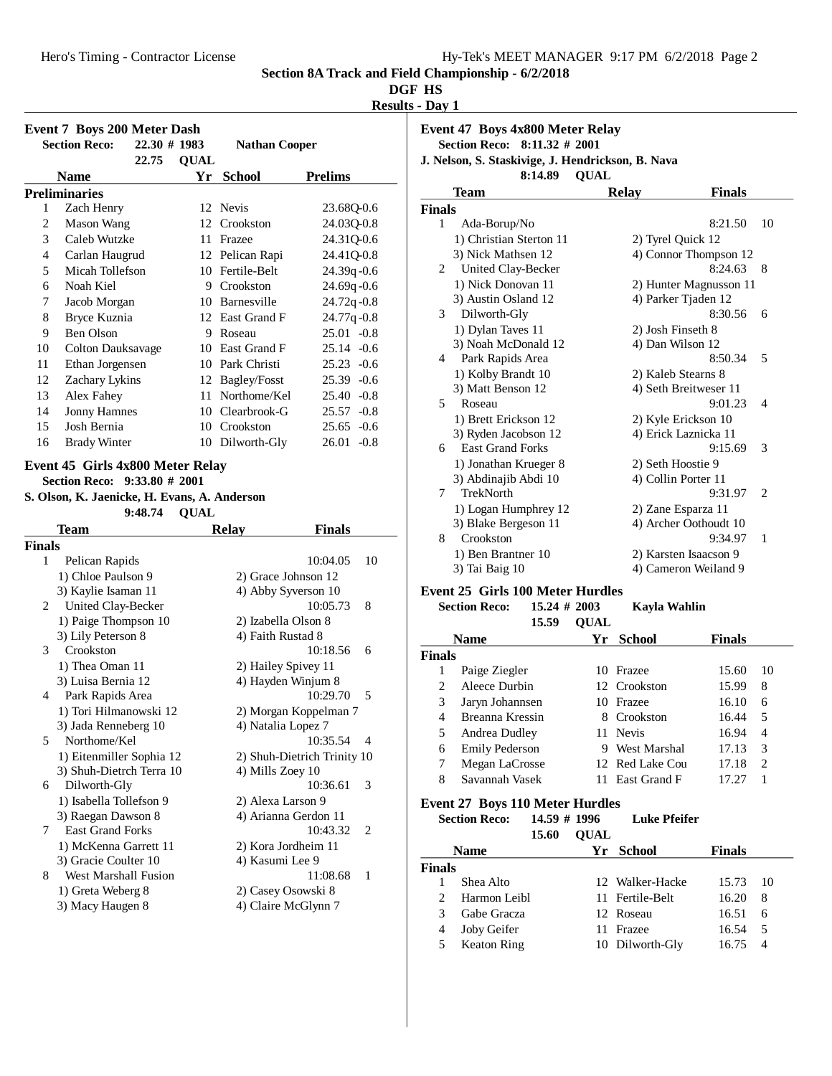Hero's Timing - Contractor License

|  | Hy-Tek's MEET MANAGER 9:17 PM 6/2/2018 Page 2 |  |  |
|--|-----------------------------------------------|--|--|
|  |                                               |  |  |

**Section 8A Track and Field Championship - 6/2/2018**

### **DGF HS**

**Results - Day 1**

|               | <b>Event 7 Boys 200 Meter Dash</b><br><b>Section Reco:</b>                                                                               | $22.30 \# 1983$ | <b>Nathan Cooper</b> |                             |
|---------------|------------------------------------------------------------------------------------------------------------------------------------------|-----------------|----------------------|-----------------------------|
|               | 22.75                                                                                                                                    | <b>QUAL</b>     |                      |                             |
|               | <b>Name</b><br><b>Preliminaries</b>                                                                                                      |                 | Yr School            | <b>Prelims</b>              |
| 1             | Zach Henry                                                                                                                               |                 | 12 Nevis             | 23.68Q-0.6                  |
| 2             | <b>Mason Wang</b>                                                                                                                        |                 | 12 Crookston         | 24.03Q-0.8                  |
| 3             | Caleb Wutzke                                                                                                                             |                 | 11 Frazee            | 24.31Q-0.6                  |
| 4             | Carlan Haugrud                                                                                                                           |                 | 12 Pelican Rapi      | 24.41Q-0.8                  |
| 5             | Micah Tollefson                                                                                                                          |                 | 10 Fertile-Belt      | 24.39q-0.6                  |
| 6             | Noah Kiel                                                                                                                                |                 | 9 Crookston          | 24.69q-0.6                  |
| 7             | Jacob Morgan                                                                                                                             |                 | 10 Barnesville       | 24.72q-0.8                  |
| 8             | Bryce Kuznia                                                                                                                             |                 | 12 East Grand F      | 24.77q-0.8                  |
| 9             | Ben Olson                                                                                                                                |                 | 9 Roseau             | $25.01 - 0.8$               |
| 10            | <b>Colton Dauksavage</b>                                                                                                                 |                 | 10 East Grand F      | $25.14 -0.6$                |
| 11            | Ethan Jorgensen                                                                                                                          |                 | 10 Park Christi      | $25.23 -0.6$                |
| 12            | Zachary Lykins                                                                                                                           |                 | 12 Bagley/Fosst      | $25.39 -0.6$                |
| 13            | Alex Fahey                                                                                                                               |                 | 11 Northome/Kel      | $25.40 -0.8$                |
| 14            | <b>Jonny Hamnes</b>                                                                                                                      |                 | 10 Clearbrook-G      | $25.57 -0.8$                |
| 15            | Josh Bernia                                                                                                                              |                 | 10 Crookston         | $25.65 -0.6$                |
| 16            | <b>Brady Winter</b>                                                                                                                      |                 | 10 Dilworth-Gly      | $26.01 - 0.8$               |
|               | Event 45 Girls 4x800 Meter Relay<br>$9:33.80 \# 2001$<br><b>Section Reco:</b><br>S. Olson, K. Jaenicke, H. Evans, A. Anderson<br>9:48.74 | <b>QUAL</b>     |                      |                             |
|               |                                                                                                                                          |                 |                      |                             |
|               | Team                                                                                                                                     |                 | <b>Relay</b>         | <b>Finals</b>               |
|               |                                                                                                                                          |                 |                      |                             |
| 1             | Pelican Rapids                                                                                                                           |                 |                      | 10<br>10:04.05              |
|               | 1) Chloe Paulson 9                                                                                                                       |                 | 2) Grace Johnson 12  |                             |
|               | 3) Kaylie Isaman 11                                                                                                                      |                 | 4) Abby Syverson 10  |                             |
| 2             | United Clay-Becker                                                                                                                       |                 |                      | 10:05.73<br>8               |
|               | 1) Paige Thompson 10                                                                                                                     |                 | 2) Izabella Olson 8  |                             |
|               | 3) Lily Peterson 8                                                                                                                       |                 | 4) Faith Rustad 8    |                             |
| 3             | Crookston                                                                                                                                |                 |                      | 10:18.56<br>6               |
|               | 1) Thea Oman 11                                                                                                                          |                 | 2) Hailey Spivey 11  |                             |
|               | 3) Luisa Bernia 12                                                                                                                       |                 | 4) Hayden Winjum 8   |                             |
| 4             | Park Rapids Area                                                                                                                         |                 |                      | 10:29.70<br>5               |
|               | 1) Tori Hilmanowski 12                                                                                                                   |                 |                      | 2) Morgan Koppelman 7       |
|               | 3) Jada Renneberg 10                                                                                                                     |                 | 4) Natalia Lopez 7   |                             |
| 5             | Northome/Kel                                                                                                                             |                 |                      | 10:35.54<br>4               |
|               | 1) Eitenmiller Sophia 12                                                                                                                 |                 |                      | 2) Shuh-Dietrich Trinity 10 |
| 6             | 3) Shuh-Dietrch Terra 10                                                                                                                 |                 | 4) Mills Zoey 10     | 3                           |
|               | Dilworth-Gly                                                                                                                             |                 |                      | 10:36.61                    |
|               | 1) Isabella Tollefson 9                                                                                                                  |                 | 2) Alexa Larson 9    |                             |
| 7             | 3) Raegan Dawson 8<br><b>East Grand Forks</b>                                                                                            |                 | 4) Arianna Gerdon 11 | 10:43.32<br>2               |
|               | 1) McKenna Garrett 11                                                                                                                    |                 | 2) Kora Jordheim 11  |                             |
|               | 3) Gracie Coulter 10                                                                                                                     |                 | 4) Kasumi Lee 9      |                             |
| 8             | West Marshall Fusion                                                                                                                     |                 |                      | 11:08.68<br>1               |
| <b>Finals</b> | 1) Greta Weberg 8                                                                                                                        |                 | 2) Casey Osowski 8   |                             |

|        |   | <b>Event 47 Boys 4x800 Meter Relay</b><br>Section Reco: 8:11.32 # 2001 |                        |                |
|--------|---|------------------------------------------------------------------------|------------------------|----------------|
|        |   | J. Nelson, S. Staskivige, J. Hendrickson, B. Nava<br>8:14.89           | <b>OUAL</b>            |                |
|        |   | Team                                                                   | <b>Finals</b><br>Relay |                |
| Finals |   |                                                                        |                        |                |
|        | 1 | Ada-Borup/No                                                           | 8:21.50                | 10             |
|        |   | 1) Christian Sterton 11                                                | 2) Tyrel Quick 12      |                |
|        |   | 3) Nick Mathsen 12                                                     | 4) Connor Thompson 12  |                |
|        | 2 | United Clay-Becker                                                     | 8:24.63                | 8              |
|        |   | 1) Nick Donovan 11                                                     | 2) Hunter Magnusson 11 |                |
|        |   | 3) Austin Osland 12                                                    | 4) Parker Tjaden 12    |                |
|        | 3 | Dilworth-Gly                                                           | 8:30.56                | 6              |
|        |   | 1) Dylan Taves 11                                                      | 2) Josh Finseth 8      |                |
|        |   | 3) Noah McDonald 12                                                    | 4) Dan Wilson 12       |                |
|        | 4 | Park Rapids Area                                                       | 8:50.34                | 5              |
|        |   | 1) Kolby Brandt 10                                                     | 2) Kaleb Stearns 8     |                |
|        |   | 3) Matt Benson 12                                                      | 4) Seth Breitweser 11  |                |
|        | 5 | Roseau                                                                 | 9:01.23                | $\overline{4}$ |
|        |   | 1) Brett Erickson 12                                                   | 2) Kyle Erickson 10    |                |
|        |   | 3) Ryden Jacobson 12                                                   | 4) Erick Laznicka 11   |                |
|        | 6 | <b>East Grand Forks</b>                                                | 9:15.69                | 3              |
|        |   | 1) Jonathan Krueger 8                                                  | 2) Seth Hoostie 9      |                |
|        |   | 3) Abdinajib Abdi 10                                                   | 4) Collin Porter 11    |                |
|        | 7 | <b>TrekNorth</b>                                                       | 9:31.97                | $\overline{c}$ |
|        |   | 1) Logan Humphrey 12                                                   | 2) Zane Esparza 11     |                |
|        |   | 3) Blake Bergeson 11                                                   | 4) Archer Oothoudt 10  |                |
|        | 8 | Crookston                                                              | 9:34.97                | 1              |
|        |   | 1) Ben Brantner 10                                                     | 2) Karsten Isaacson 9  |                |
|        |   | 3) Tai Baig 10                                                         | 4) Cameron Weiland 9   |                |
|        |   |                                                                        |                        |                |

### **Event 25 Girls 100 Meter Hurdles**

|                | <b>Section Reco:</b>  | 15.24 # 2003 |             | Kayla Wahlin    |               |                |
|----------------|-----------------------|--------------|-------------|-----------------|---------------|----------------|
|                |                       | 15.59        | <b>OUAL</b> |                 |               |                |
|                | <b>Name</b>           |              | Yr          | <b>School</b>   | <b>Finals</b> |                |
| <b>Finals</b>  |                       |              |             |                 |               |                |
| 1              | Paige Ziegler         |              |             | 10 Frazee       | 15.60         | 10             |
| $\mathfrak{D}$ | Aleece Durbin         |              |             | 12 Crookston    | 15.99         | 8              |
| 3              | Jaryn Johannsen       |              |             | 10 Frazee       | 16.10         | 6              |
| 4              | Breanna Kressin       |              |             | 8 Crookston     | 16.44         | 5              |
| 5              | Andrea Dudley         |              |             | 11 Nevis        | 16.94         | 4              |
| 6              | <b>Emily Pederson</b> |              | 9           | West Marshal    | 17.13         | 3              |
| 7              | Megan LaCrosse        |              |             | 12 Red Lake Cou | 17.18         | $\overline{c}$ |
| 8              | Savannah Vasek        |              |             | 11 East Grand F | 17.27         |                |
|                |                       |              |             |                 |               |                |

#### **Event 27 Boys 110 Meter Hurdles**

**Section Reco:** 14.59 # 1996 Luke Pfeifer **15.60 QUAL** 

|               | $\cdots\cdots$     | vv.n |                 |               |                |
|---------------|--------------------|------|-----------------|---------------|----------------|
|               | <b>Name</b>        |      | Yr School       | <b>Finals</b> |                |
| <b>Finals</b> |                    |      |                 |               |                |
|               | Shea Alto          |      | 12 Walker-Hacke | 15.73         | - 10           |
|               | Harmon Leibl       |      | 11 Fertile-Belt | 16.20         | 8              |
| 3             | Gabe Gracza        |      | 12 Roseau       | 16.51         | 6              |
|               | Joby Geifer        |      | 11 Frazee       | 16.54         | -5             |
| 5             | <b>Keaton Ring</b> |      | 10 Dilworth-Gly | 16.75         | $\overline{4}$ |
|               |                    |      |                 |               |                |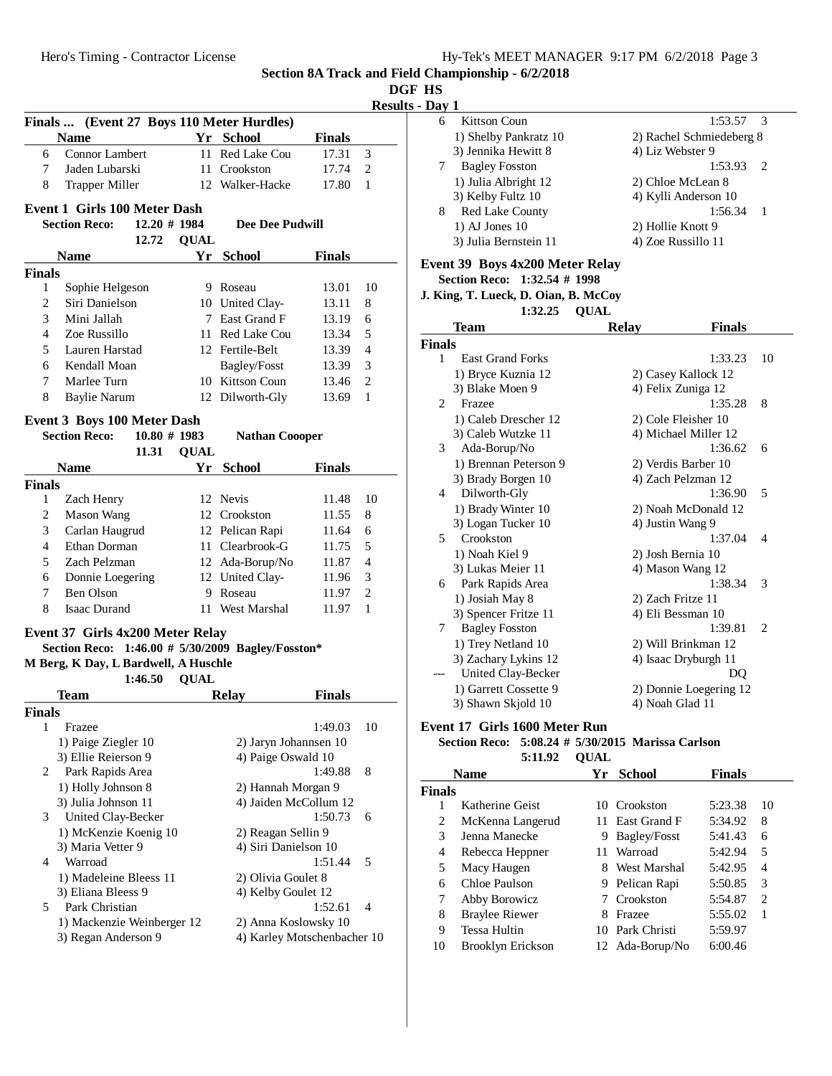$1:53.57$  3

**Section 8A Track and Field Championship - 6/2/2018**

| DGF | нs |
|-----|----|
|     |    |

|               |                                                   |             |                        |               |                | <b>Results - Day 1</b>                      |                          |
|---------------|---------------------------------------------------|-------------|------------------------|---------------|----------------|---------------------------------------------|--------------------------|
|               | Finals  (Event 27 Boys 110 Meter Hurdles)         |             |                        |               |                | Kittson Coun<br>6                           |                          |
|               | <b>Name</b>                                       |             | Yr School              | <b>Finals</b> |                | 1) Shelby Pankratz 10                       | 2) Rachel                |
| 6             | Connor Lambert                                    |             | 11 Red Lake Cou        | 17.31         | 3              | 3) Jennika Hewitt 8                         | 4) Liz Wel               |
| 7             | Jaden Lubarski                                    |             | 11 Crookston           | 17.74         | 2              | 7<br><b>Bagley Fosston</b>                  |                          |
| 8             | <b>Trapper Miller</b>                             |             | 12 Walker-Hacke        | 17.80         | -1             | 1) Julia Albright 12                        | 2) Chloe N               |
|               |                                                   |             |                        |               |                | 3) Kelby Fultz 10                           | 4) Kylli A               |
|               | <b>Event 1 Girls 100 Meter Dash</b>               |             |                        |               |                | 8<br>Red Lake County                        |                          |
|               | <b>Section Reco:</b><br>$12.20 \# 1984$           |             | <b>Dee Dee Pudwill</b> |               |                | $1)$ AJ Jones $10$                          | 2) Hollie I              |
|               | 12.72                                             | <b>OUAL</b> |                        |               |                | 3) Julia Bernstein 11                       | 4) Zoe Ru                |
|               | <b>Name</b>                                       |             | Yr School              | <b>Finals</b> |                | Event 39 Boys 4x200 Meter Relay             |                          |
| <b>Finals</b> |                                                   |             |                        |               |                | Section Reco: 1:32.54 # 1998                |                          |
| $\mathbf{1}$  | Sophie Helgeson                                   |             | 9 Roseau               | 13.01         | 10             | J. King, T. Lueck, D. Oian, B. McCoy        |                          |
| 2             | Siri Danielson                                    |             | 10 United Clay-        | 13.11         | 8              | 1:32.25                                     |                          |
| 3             | Mini Jallah                                       |             | 7 East Grand F         | 13.19         | 6              |                                             | <b>QUAL</b>              |
| 4             | Zoe Russillo                                      |             | 11 Red Lake Cou        | 13.34         | 5              | Team                                        | <b>Relay</b>             |
| 5             | Lauren Harstad                                    |             | 12 Fertile-Belt        | 13.39         | $\overline{4}$ | <b>Finals</b>                               |                          |
| 6             | Kendall Moan                                      |             | Bagley/Fosst           | 13.39         | 3              | <b>East Grand Forks</b><br>$\mathbf{1}$     |                          |
| 7             | Marlee Turn                                       |             | 10 Kittson Coun        | 13.46         | 2              | 1) Bryce Kuznia 12                          | 2) Casey I               |
| 8             | <b>Baylie Narum</b>                               |             | 12 Dilworth-Gly        | 13.69         | 1              | 3) Blake Moen 9                             | 4) Felix Z               |
|               |                                                   |             |                        |               |                | Frazee<br>2                                 |                          |
|               | <b>Event 3 Boys 100 Meter Dash</b>                |             |                        |               |                | 1) Caleb Drescher 12                        | 2) Cole Fl               |
|               | <b>Section Reco:</b><br>$10.80 \# 1983$           |             | <b>Nathan Coooper</b>  |               |                | 3) Caleb Wutzke 11                          | 4) Michae                |
|               | 11.31                                             | <b>QUAL</b> |                        |               |                | 3<br>Ada-Borup/No                           |                          |
|               | <b>Name</b>                                       |             | Yr School              | <b>Finals</b> |                | 1) Brennan Peterson 9                       | 2) Verdis 1              |
| <b>Finals</b> |                                                   |             |                        |               |                | 3) Brady Borgen 10                          | 4) Zach $P_6$            |
| 1             | Zach Henry                                        |             | 12 Nevis               | 11.48         | 10             | Dilworth-Gly<br>4                           |                          |
| 2             | <b>Mason Wang</b>                                 |             | 12 Crookston           | 11.55         | 8              | 1) Brady Winter 10                          | 2) Noah M                |
| 3             | Carlan Haugrud                                    |             | 12 Pelican Rapi        | 11.64         | 6              | 3) Logan Tucker 10                          | 4) Justin \              |
| 4             | Ethan Dorman                                      |             | 11 Clearbrook-G        | 11.75         | 5              | Crookston<br>5                              |                          |
| 5             | Zach Pelzman                                      |             | 12 Ada-Borup/No        | 11.87         | $\overline{4}$ | 1) Noah Kiel 9                              | $2)$ Josh Be             |
| 6             | Donnie Loegering                                  |             | 12 United Clay-        | 11.96         | 3              | 3) Lukas Meier 11                           | 4) Mason                 |
| 7             | Ben Olson                                         |             | 9 Roseau               | 11.97         | $\mathfrak{2}$ | Park Rapids Area<br>6                       |                          |
| 8             | <b>Isaac Durand</b>                               |             | 11 West Marshal        | 11.97         | $\mathbf{1}$   | 1) Josiah May 8                             | $2)$ Zach F <sub>1</sub> |
|               |                                                   |             |                        |               |                | 3) Spencer Fritze 11                        | 4) Eli Bes               |
|               | Event 37 Girls 4x200 Meter Relay                  |             |                        |               |                | <b>Bagley Fosston</b><br>7                  |                          |
|               | Section Reco: 1:46.00 # 5/30/2009 Bagley/Fosston* |             |                        |               |                | 1) Trey Netland 10                          | 2) Will Br               |
|               | M Berg, K Day, L Bardwell, A Huschle              |             |                        |               |                | 3) Zachary Lykins 12                        | 4) Isaac D               |
|               | 1:46.50                                           | <b>QUAL</b> |                        |               |                | United Clay-Becker                          |                          |
|               | Team                                              |             | <b>Relay</b>           | <b>Finals</b> |                | 1) Garrett Cossette 9                       | 2) Donnie                |
| <b>Finals</b> |                                                   |             |                        |               |                | 3) Shawn Skjold 10                          | 4) Noah G                |
| $\mathbf{1}$  | Frazee                                            |             |                        | 1:49.03       | 10             | Event 17 Girls 1600 Meter Run               |                          |
|               | 1) Paige Ziegler 10                               |             | 2) Jaryn Johannsen 10  |               |                | Section Reco: 5:08.24 # 5/30/2015 Marissa 0 |                          |
|               | 3) Ellie Reierson 9                               |             | 4) Paige Oswald 10     |               |                | 5:11.92                                     | <b>QUAL</b>              |
| 2             | Park Rapids Area                                  |             |                        | 1:49.88       | 8              | <b>Name</b>                                 | Yr School                |
|               | 1) Holly Johnson 8                                |             | 2) Hannah Morgan 9     |               |                | <b>Finals</b>                               |                          |
|               | 3) Julia Johnson 11                               |             | 4) Jaiden McCollum 12  |               |                | Katherine Geist<br>1                        | 10 Crookston             |
| 3             | United Clay-Becker                                |             |                        | 1:50.73       | 6              | 2<br>McKenna Langerud                       | 11 East Grand F          |
|               | 1) McKenzie Koenig 10                             |             | 2) Reagan Sellin 9     |               |                | 3<br>Jenna Manecke                          | Bagley/Fosst<br>9.       |
|               | 3) Maria Vetter 9                                 |             | 4) Siri Danielson 10   |               |                | Rebecca Heppner<br>4                        | 11 Warroad               |
| 4             | Warroad                                           |             |                        | 1:51.44       | 5              | 5<br>Macy Haugen                            | 8 West Marshal           |
|               | 1) Madeleine Bleess 11                            |             | 2) Olivia Goulet 8     |               |                | Chloe Paulson<br>6                          | 9 Pelican Rapi           |
|               | 3) Eliana Bleess 9                                |             | 4) Kelby Goulet 12     |               |                |                                             |                          |

5 Park Christian 1:52.61 4

1) Mackenzie Weinberger 12 2) Anna Koslowsky 10

3) Regan Anderson 9 4) Karley Motschenbacher 10

Schmiedeberg 8 bster 9  $1:53.93$  2 McLean 8 nderson 10  $1:56.34$  1 Knott 9  $\text{ssillo} 11$ 

|                             | 1.V2.2V                 | vuu                 |                        |    |
|-----------------------------|-------------------------|---------------------|------------------------|----|
|                             | <b>Team</b>             | <b>Relay</b>        | Finals                 |    |
| nals                        |                         |                     |                        |    |
| 1                           | <b>East Grand Forks</b> |                     | 1:33.23                | 10 |
|                             | 1) Bryce Kuznia 12      | 2) Casey Kallock 12 |                        |    |
|                             | 3) Blake Moen 9         | 4) Felix Zuniga 12  |                        |    |
| $\mathcal{D}_{\mathcal{L}}$ | Frazee                  |                     | 1:35.28                | 8  |
|                             | 1) Caleb Drescher 12    | 2) Cole Fleisher 10 |                        |    |
|                             | 3) Caleb Wutzke 11      |                     | 4) Michael Miller 12   |    |
| 3                           | Ada-Borup/No            |                     | 1:36.62                | 6  |
|                             | 1) Brennan Peterson 9   | 2) Verdis Barber 10 |                        |    |
|                             | 3) Brady Borgen 10      | 4) Zach Pelzman 12  |                        |    |
| 4                           | Dilworth-Gly            |                     | 1:36.90                | 5  |
|                             | 1) Brady Winter 10      |                     | 2) Noah McDonald 12    |    |
|                             | 3) Logan Tucker 10      | 4) Justin Wang 9    |                        |    |
| 5                           | Crookston               |                     | 1:37.04                | 4  |
|                             | 1) Noah Kiel 9          | 2) Josh Bernia 10   |                        |    |
|                             | 3) Lukas Meier 11       | 4) Mason Wang 12    |                        |    |
| 6                           | Park Rapids Area        |                     | 1:38.34                | 3  |
|                             | 1) Josiah May 8         | 2) Zach Fritze 11   |                        |    |
|                             | 3) Spencer Fritze 11    | 4) Eli Bessman 10   |                        |    |
| 7                           | <b>Bagley Fosston</b>   |                     | 1:39.81                | 2  |
|                             | 1) Trey Netland 10      |                     | 2) Will Brinkman 12    |    |
|                             | 3) Zachary Lykins 12    |                     | 4) Isaac Dryburgh 11   |    |
|                             | United Clay-Becker      |                     | DQ                     |    |
|                             | 1) Garrett Cossette 9   |                     | 2) Donnie Loegering 12 |    |
|                             | 3) Shawn Skjold 10      | 4) Noah Glad 11     |                        |    |

# **Sarlson**

| Name  |                       | Yr | <b>School</b>       | <b>Finals</b> |    |
|-------|-----------------------|----|---------------------|---------------|----|
| inals |                       |    |                     |               |    |
|       | Katherine Geist       | 10 | Crookston           | 5:23.38       | 10 |
| 2     | McKenna Langerud      |    | 11 East Grand F     | 5:34.92       | 8  |
| 3     | Jenna Manecke         | 9. | <b>Bagley/Fosst</b> | 5:41.43       | 6  |
| 4     | Rebecca Heppner       | 11 | Warroad             | 5:42.94       | 5  |
| 5     | Macy Haugen           | 8  | West Marshal        | 5:42.95       | 4  |
| 6     | Chloe Paulson         |    | 9 Pelican Rapi      | 5:50.85       | 3  |
| 7     | Abby Borowicz         |    | 7 Crookston         | 5:54.87       | 2  |
| 8     | <b>Braylee Riewer</b> | 8  | Frazee              | 5:55.02       |    |
| 9     | <b>Tessa Hultin</b>   | 10 | Park Christi        | 5:59.97       |    |
| 10    | Brooklyn Erickson     |    | 12 Ada-Borup/No     | 6:00.46       |    |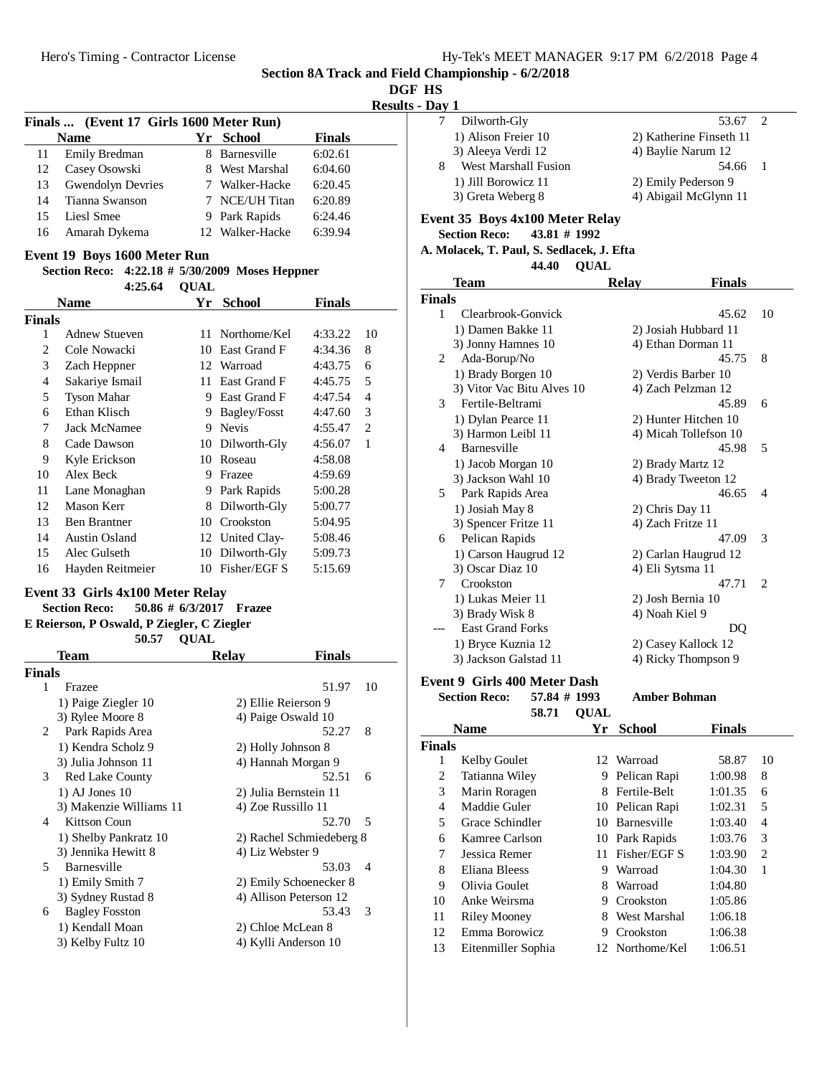| ۱L  | ٦   |
|-----|-----|
| . . | ۱   |
| ш   | . . |

#### **Results - Day 1**

| ли 1 |                      |                         |                          |  |
|------|----------------------|-------------------------|--------------------------|--|
|      | Dilworth-Gly         | 53.67                   | $\overline{\phantom{a}}$ |  |
|      | 1) Alison Freier 10  | 2) Katherine Finseth 11 |                          |  |
|      | 3) Aleeya Verdi 12   | 4) Baylie Narum 12      |                          |  |
| 8    | West Marshall Fusion | 54.66 1                 |                          |  |
|      | 1) Jill Borowicz 11  | 2) Emily Pederson 9     |                          |  |
|      | 3) Greta Weberg 8    | 4) Abigail McGlynn 11   |                          |  |

#### **Event 35 Boys 4x100 Meter Relay**

**Section Reco: 43.81 # 1992**

#### **A. Molacek, T. Paul, S. Sedlacek, J. Efta QUAL44.40**

|               | <b>Team</b>                  | <b>Relay</b>          | Finals         |                             |
|---------------|------------------------------|-----------------------|----------------|-----------------------------|
| <b>Finals</b> |                              |                       |                |                             |
| 1             | Clearbrook-Gonvick           |                       | 45.62          | 10                          |
|               | 1) Damen Bakke 11            | 2) Josiah Hubbard 11  |                |                             |
|               | 3) Jonny Hamnes 10           | 4) Ethan Dorman 11    |                |                             |
| 2             | Ada-Borup/No                 |                       | 45.75          | 8                           |
|               | 1) Brady Borgen 10           | 2) Verdis Barber 10   |                |                             |
|               | 3) Vitor Vac Bitu Alves 10   | 4) Zach Pelzman 12    |                |                             |
| 3             | Fertile-Beltrami             |                       | 45.89          | 6                           |
|               | 1) Dylan Pearce 11           | 2) Hunter Hitchen 10  |                |                             |
|               | 3) Harmon Leibl 11           | 4) Micah Tollefson 10 |                |                             |
| 4             | Barnesville                  |                       | 45.98          | 5                           |
|               | 1) Jacob Morgan 10           | 2) Brady Martz 12     |                |                             |
|               | 3) Jackson Wahl 10           | 4) Brady Tweeton 12   |                |                             |
| 5.            | Park Rapids Area             |                       | 46.65          | $\overline{\mathcal{A}}$    |
|               | 1) Josiah May 8              | 2) Chris Day 11       |                |                             |
|               | 3) Spencer Fritze 11         | 4) Zach Fritze 11     |                |                             |
| 6             | Pelican Rapids               |                       | 47.09          | 3                           |
|               | 1) Carson Haugrud 12         | 2) Carlan Haugrud 12  |                |                             |
|               | 3) Oscar Diaz 10             | 4) Eli Sytsma 11      |                |                             |
| 7             | Crookston                    |                       | 47.71          | $\mathcal{D}_{\mathcal{L}}$ |
|               | 1) Lukas Meier 11            | 2) Josh Bernia 10     |                |                             |
|               | 3) Brady Wisk 8              | 4) Noah Kiel 9        |                |                             |
|               | <b>East Grand Forks</b>      |                       | D <sub>O</sub> |                             |
|               | 1) Bryce Kuznia 12           | 2) Casey Kallock 12   |                |                             |
|               | 3) Jackson Galstad 11        | 4) Ricky Thompson 9   |                |                             |
|               | Event 9 Girls 400 Meter Dash |                       |                |                             |

**Section Reco:** 57.84 # 1993 Amber Bohman

|        | 58.71               | <b>OUAL</b> |                    |               |    |
|--------|---------------------|-------------|--------------------|---------------|----|
|        | <b>Name</b>         | Үr          | School             | <b>Finals</b> |    |
| Finals |                     |             |                    |               |    |
| 1      | <b>Kelby Goulet</b> |             | 12 Warroad         | 58.87         | 10 |
| 2      | Tatianna Wiley      | 9           | Pelican Rapi       | 1:00.98       | 8  |
| 3      | Marin Roragen       | 8           | Fertile-Belt       | 1:01.35       | 6  |
| 4      | Maddie Guler        | 10          | Pelican Rapi       | 1:02.31       | 5  |
| 5      | Grace Schindler     | 10          | <b>Barnesville</b> | 1:03.40       | 4  |
| 6      | Kamree Carlson      | 10          | Park Rapids        | 1:03.76       | 3  |
| 7      | Jessica Remer       | 11          | Fisher/EGF S       | 1:03.90       | 2  |
| 8      | Eliana Bleess       | 9           | Warroad            | 1:04.30       | 1  |
| 9      | Olivia Goulet       | 8           | Warroad            | 1:04.80       |    |
| 10     | Anke Weirsma        | 9           | Crookston          | 1:05.86       |    |
| 11     | Riley Mooney        | 8           | West Marshal       | 1:06.18       |    |
| 12     | Emma Borowicz       | 9           | Crookston          | 1:06.38       |    |
| 13     | Eitenmiller Sophia  |             | 12 Northome/Kel    | 1:06.51       |    |

### **Finals ... (Event 17 Girls 1600 Meter Run) Name Yr School Finals** 11 Emily Bredman 8 Barnesville 6:02.61 12 Casey Osowski 8 West Marshal 6:04.60 13 Gwendolyn Devries 7 Walker-Hacke 6:20.45 14 Tianna Swanson 7 NCE/UH Titan 6:20.89 15 Liesl Smee 9 Park Rapids 6:24.46 16 Amarah Dykema<br>12 Walker-Hacke 6:39.94

#### **Event 19 Boys 1600 Meter Run**

#### **Section Reco:** 4:22.18 # 5/30/2009 Moses Heppner **QUAL4:25.64**

|        | Name                 | Yr | <b>School</b>       | <b>Finals</b> |    |
|--------|----------------------|----|---------------------|---------------|----|
| Finals |                      |    |                     |               |    |
| 1      | Adnew Stueven        | 11 | Northome/Kel        | 4:33.22       | 10 |
| 2      | Cole Nowacki         | 10 | East Grand F        | 4:34.36       | 8  |
| 3      | Zach Heppner         |    | 12 Warroad          | 4:43.75       | 6  |
| 4      | Sakariye Ismail      | 11 | East Grand F        | 4:45.75       | 5  |
| 5      | <b>Tyson Mahar</b>   | 9  | East Grand F        | 4:47.54       | 4  |
| 6      | Ethan Klisch         | 9  | <b>Bagley/Fosst</b> | 4:47.60       | 3  |
| 7      | Jack McNamee         | 9  | <b>Nevis</b>        | 4:55.47       | 2  |
| 8      | Cade Dawson          | 10 | Dilworth-Gly        | 4:56.07       | 1  |
| 9      | Kyle Erickson        | 10 | Roseau              | 4:58.08       |    |
| 10     | Alex Beck            | 9  | Frazee              | 4:59.69       |    |
| 11     | Lane Monaghan        | 9  | Park Rapids         | 5:00.28       |    |
| 12     | Mason Kerr           | 8  | Dilworth-Gly        | 5:00.77       |    |
| 13     | <b>Ben Brantner</b>  | 10 | Crookston           | 5:04.95       |    |
| 14     | <b>Austin Osland</b> |    | 12 United Clay-     | 5:08.46       |    |
| 15     | Alec Gulseth         | 10 | Dilworth-Gly        | 5:09.73       |    |
| 16     | Hayden Reitmeier     | 10 | Fisher/EGF S        | 5:15.69       |    |

### **Event 33 Girls 4x100 Meter Relay**

### **Section Reco:** 50.86 # 6/3/2017 **Frazee**

**E Reierson, P Oswald, P Ziegler, C Ziegler** 50.57 OUAL

|               | Team                    | <b>Relay</b>     | <b>Finals</b>            |
|---------------|-------------------------|------------------|--------------------------|
| <b>Finals</b> |                         |                  |                          |
| 1             | Frazee                  |                  | 10<br>51.97              |
|               | 1) Paige Ziegler 10     |                  | 2) Ellie Reierson 9      |
|               | 3) Rylee Moore 8        |                  | 4) Paige Oswald 10       |
| 2             | Park Rapids Area        |                  | 8<br>52.27               |
|               | 1) Kendra Scholz 9      |                  | 2) Holly Johnson 8       |
|               | 3) Julia Johnson 11     |                  | 4) Hannah Morgan 9       |
| 3             | <b>Red Lake County</b>  |                  | 52.51<br>6               |
|               | $1)$ AJ Jones $10$      |                  | 2) Julia Bernstein 11    |
|               | 3) Makenzie Williams 11 |                  | 4) Zoe Russillo 11       |
| 4             | Kittson Coun            |                  | 52.70<br>- 5             |
|               | 1) Shelby Pankratz 10   |                  | 2) Rachel Schmiedeberg 8 |
|               | 3) Jennika Hewitt 8     | 4) Liz Webster 9 |                          |
| 5.            | Barnesville             |                  | 53.03<br>$\overline{4}$  |
|               | 1) Emily Smith 7        |                  | 2) Emily Schoenecker 8   |
|               | 3) Sydney Rustad 8      |                  | 4) Allison Peterson 12   |
| 6             | <b>Bagley Fosston</b>   |                  | 53.43<br>3               |
|               | 1) Kendall Moan         |                  | 2) Chloe McLean 8        |
|               | 3) Kelby Fultz 10       |                  | 4) Kylli Anderson 10     |
|               |                         |                  |                          |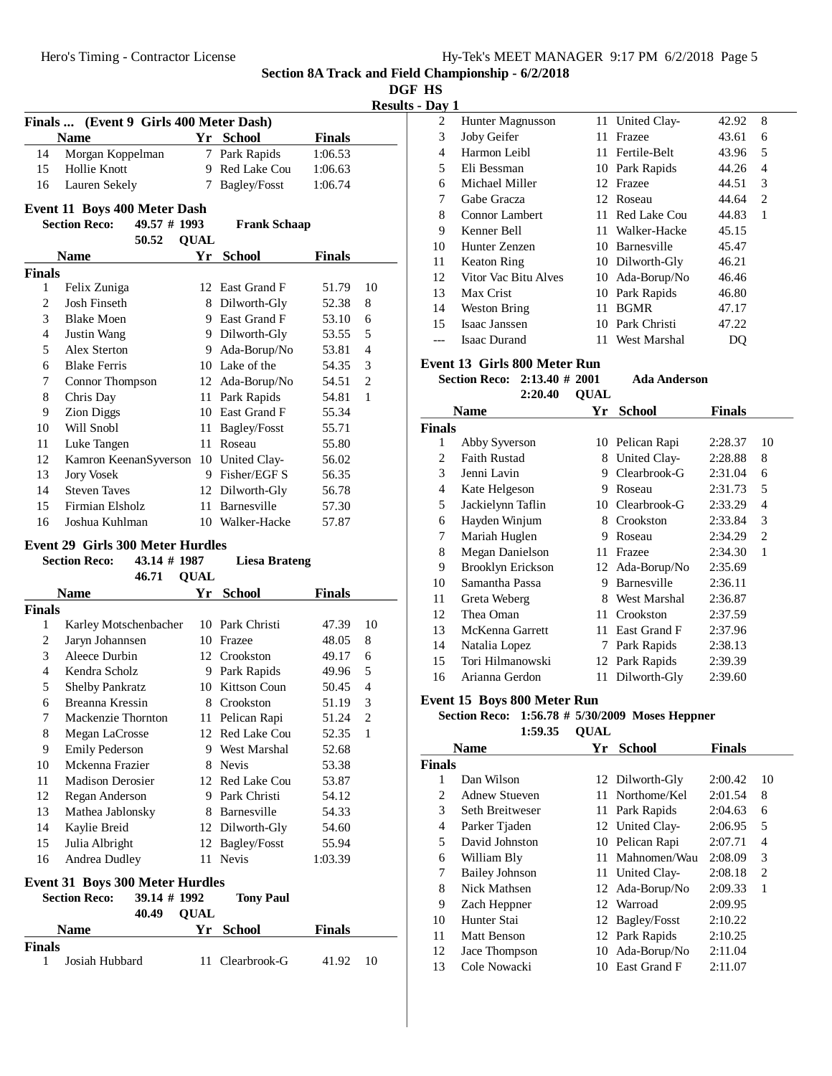**DGF HS**

**Results - Day 1**

|                | Finals  (Event 9 Girls 400 Meter Dash)                                                                |             |                     |               |                |  |  |
|----------------|-------------------------------------------------------------------------------------------------------|-------------|---------------------|---------------|----------------|--|--|
|                | <b>Name</b>                                                                                           |             | Yr School           | <b>Finals</b> |                |  |  |
| 14             | Morgan Koppelman                                                                                      |             | 7 Park Rapids       | 1:06.53       |                |  |  |
| 15             | Hollie Knott                                                                                          |             | 9 Red Lake Cou      | 1:06.63       |                |  |  |
| 16             | Lauren Sekely                                                                                         | 7           | Bagley/Fosst        | 1:06.74       |                |  |  |
|                | <b>Event 11 Boys 400 Meter Dash</b>                                                                   |             |                     |               |                |  |  |
|                | <b>Section Reco:</b><br>$49.57 \# 1993$                                                               |             | <b>Frank Schaap</b> |               |                |  |  |
|                | 50.52                                                                                                 | <b>QUAL</b> |                     |               |                |  |  |
|                | <b>Name</b>                                                                                           | Yr          | <b>School</b>       | <b>Finals</b> |                |  |  |
| Finals         |                                                                                                       |             |                     |               |                |  |  |
| 1              | Felix Zuniga                                                                                          |             | 12 East Grand F     | 51.79         | 10             |  |  |
| 2              | Josh Finseth                                                                                          |             | 8 Dilworth-Gly      | 52.38         | 8              |  |  |
| 3              | <b>Blake Moen</b>                                                                                     |             | 9 East Grand F      | 53.10         | 6              |  |  |
| $\overline{4}$ | Justin Wang                                                                                           |             | 9 Dilworth-Gly      | 53.55         | 5              |  |  |
| 5              | Alex Sterton                                                                                          |             | 9 Ada-Borup/No      | 53.81         | $\overline{4}$ |  |  |
| 6              | <b>Blake Ferris</b>                                                                                   |             | 10 Lake of the      | 54.35         | 3              |  |  |
| 7              | Connor Thompson                                                                                       |             | 12 Ada-Borup/No     | 54.51         | $\overline{2}$ |  |  |
| 8              | Chris Day                                                                                             | 11          | Park Rapids         | 54.81         | $\mathbf{1}$   |  |  |
| 9              | <b>Zion Diggs</b>                                                                                     |             | 10 East Grand F     | 55.34         |                |  |  |
| 10             | Will Snobl                                                                                            | 11          | Bagley/Fosst        | 55.71         |                |  |  |
| 11             | Luke Tangen                                                                                           | 11          | Roseau              | 55.80         |                |  |  |
| 12             | Kamron KeenanSyverson                                                                                 |             | 10 United Clay-     | 56.02         |                |  |  |
| 13             | <b>Jory Vosek</b>                                                                                     | 9           | Fisher/EGF S        | 56.35         |                |  |  |
| 14             | <b>Steven Taves</b>                                                                                   |             | 12 Dilworth-Gly     | 56.78         |                |  |  |
| 15             | Firmian Elsholz                                                                                       |             | 11 Barnesville      | 57.30         |                |  |  |
| 16             | Joshua Kuhlman                                                                                        |             | 10 Walker-Hacke     | 57.87         |                |  |  |
|                | Event 29 Girls 300 Meter Hurdles                                                                      |             |                     |               |                |  |  |
|                | $S_{\text{out}}$ $D_{\text{max}}$ $42.14 \pm 1007$<br>$\mathbf{I}$ is a $\mathbf{D}$ and $\mathbf{L}$ |             |                     |               |                |  |  |

#### **Section Reco:** 43.14 # 1987 Liesa Brateng 46.71 **QUAL Name Yr School Finals Finals** 1 Karley Motschenbacher 10 Park Christi 47.39 10 2 Jaryn Johannsen 10 Frazee 48.05 8 3 Aleece Durbin 12 Crookston 49.17 6 4 Kendra Scholz 9 Park Rapids 49.96 5 5 Shelby Pankratz 10 Kittson Coun 50.45 4 6 Breanna Kressin 8 Crookston 51.19 3 7 Mackenzie Thornton 11 Pelican Rapi 51.24 2 8 Megan LaCrosse 12 Red Lake Cou 52.35 1 9 Emily Pederson 9 West Marshal 52.68 10 Mckenna Frazier 8 Nevis 53.38 11 Madison Derosier 12 Red Lake Cou 53.87 12 Regan Anderson 9 Park Christi 54.12 13 Mathea Jablonsky 8 Barnesville 54.33 14 Kaylie Breid 12 Dilworth-Gly 54.60 15 Julia Albright<br>12 Bagley/Fosst 55.94 16 Andrea Dudley 11 Nevis 1:03.39 **Event 31 Boys 300 Meter Hurdles**<br>Section Reco: 39.14 # 1992 **39.14 # 1992 Tony Paul** 40.49 **QUAL Name Yr School Finals Finals**

1 Josiah Hubbard 11 Clearbrook-G 41.92 10

| $-1$ |                      |     |                 |       |   |
|------|----------------------|-----|-----------------|-------|---|
| 2    | Hunter Magnusson     |     | 11 United Clay- | 42.92 | 8 |
| 3    | Joby Geifer          | 11. | Frazee          | 43.61 | 6 |
| 4    | Harmon Leibl         |     | 11 Fertile-Belt | 43.96 | 5 |
| 5    | Eli Bessman          |     | 10 Park Rapids  | 44.26 | 4 |
| 6    | Michael Miller       |     | 12 Frazee       | 44.51 | 3 |
| 7    | Gabe Gracza          |     | 12 Roseau       | 44.64 | 2 |
| 8    | Connor Lambert       | 11  | Red Lake Cou    | 44.83 | 1 |
| 9    | Kenner Bell          | 11  | Walker-Hacke    | 45.15 |   |
| 10   | Hunter Zenzen        |     | 10 Barnesville  | 45.47 |   |
| 11   | <b>Keaton Ring</b>   |     | 10 Dilworth-Gly | 46.21 |   |
| 12   | Vitor Vac Bitu Alves |     | 10 Ada-Borup/No | 46.46 |   |
| 13   | Max Crist            |     | 10 Park Rapids  | 46.80 |   |
| 14   | Weston Bring         | 11. | <b>BGMR</b>     | 47.17 |   |
| 15   | Isaac Janssen        |     | 10 Park Christi | 47.22 |   |
|      | <b>Isaac Durand</b>  | 11. | West Marshal    | DO    |   |

#### **Event 13 Girls 800 Meter Run**

**Section Reco:** 2:13.40 # 2001 Ada Anderson **2:20.40 OUAL** 

|               | Name                   | Yr | <b>School</b>   | <b>Finals</b> |                |
|---------------|------------------------|----|-----------------|---------------|----------------|
| <b>Finals</b> |                        |    |                 |               |                |
| 1             | Abby Syverson          | 10 | Pelican Rapi    | 2:28.37       | 10             |
| 2             | <b>Faith Rustad</b>    | 8  | United Clay-    | 2:28.88       | 8              |
| 3             | Jenni Lavin            | 9  | Clearbrook-G    | 2:31.04       | 6              |
| 4             | Kate Helgeson          | 9  | Roseau          | 2:31.73       | 5              |
| 5             | Jackielynn Taflin      |    | 10 Clearbrook-G | 2:33.29       | 4              |
| 6             | Hayden Winjum          | 8  | Crookston       | 2:33.84       | 3              |
| 7             | Mariah Huglen          | 9  | Roseau          | 2:34.29       | $\overline{2}$ |
| 8             | <b>Megan Danielson</b> | 11 | Frazee          | 2:34.30       | 1              |
| 9             | Brooklyn Erickson      | 12 | Ada-Borup/No    | 2:35.69       |                |
| 10            | Samantha Passa         | 9  | Barnesville     | 2:36.11       |                |
| 11            | Greta Weberg           | 8  | West Marshal    | 2:36.87       |                |
| 12            | Thea Oman              | 11 | Crookston       | 2:37.59       |                |
| 13            | McKenna Garrett        | 11 | East Grand F    | 2:37.96       |                |
| 14            | Natalia Lopez          | 7  | Park Rapids     | 2:38.13       |                |
| 15            | Tori Hilmanowski       | 12 | Park Rapids     | 2:39.39       |                |
| 16            | Arianna Gerdon         | 11 | Dilworth-Gly    | 2:39.60       |                |

#### **Event 15 Boys 800 Meter Run**

Section Reco: 1:56.78 # 5/30/2009 Moses Heppner 1:59.35 **QUAL** 

|        | <b>School</b><br><b>Name</b><br>Yr |    | <b>Finals</b>   |         |                |
|--------|------------------------------------|----|-----------------|---------|----------------|
| Finals |                                    |    |                 |         |                |
|        | Dan Wilson                         |    | 12 Dilworth-Gly | 2:00.42 | 10             |
| 2      | <b>Adnew Stueven</b>               | 11 | Northome/Kel    | 2:01.54 | 8              |
| 3      | Seth Breitweser                    |    | 11 Park Rapids  | 2:04.63 | 6              |
| 4      | Parker Tjaden                      |    | 12 United Clay- | 2:06.95 | 5              |
| 5      | David Johnston                     |    | 10 Pelican Rapi | 2:07.71 | 4              |
| 6      | William Bly                        | 11 | Mahnomen/Wau    | 2:08.09 | 3              |
| 7      | <b>Bailey Johnson</b>              |    | 11 United Clay- | 2:08.18 | $\overline{c}$ |
| 8      | Nick Mathsen                       |    | 12 Ada-Borup/No | 2:09.33 | 1              |
| 9      | Zach Heppner                       |    | 12 Warroad      | 2:09.95 |                |
| 10     | Hunter Stai                        |    | 12 Bagley/Fosst | 2:10.22 |                |
| 11     | Matt Benson                        |    | 12 Park Rapids  | 2:10.25 |                |
| 12     | Jace Thompson                      | 10 | Ada-Borup/No    | 2:11.04 |                |
| 13     | Cole Nowacki                       | 10 | East Grand F    | 2:11.07 |                |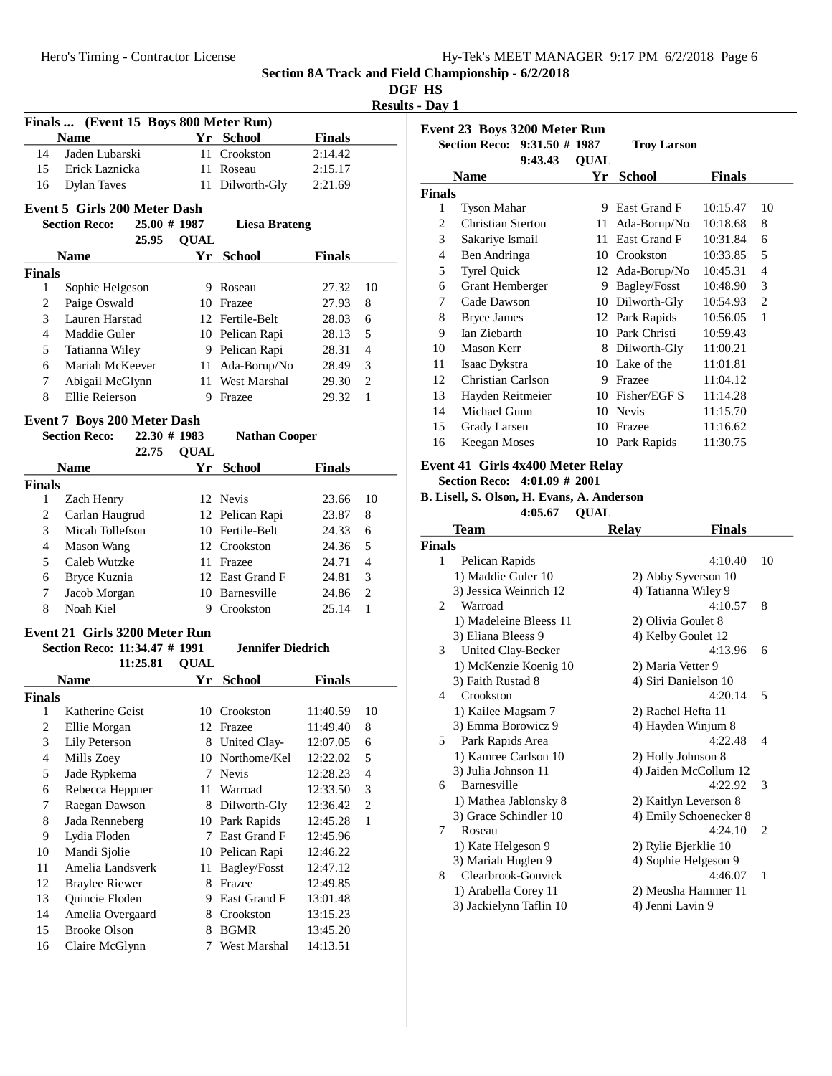**DGF HS**

**Results - Day 1**

| Finals  (Event 15 Boys 800 Meter Run) |                                                                |                 |             |                          |               |                          |
|---------------------------------------|----------------------------------------------------------------|-----------------|-------------|--------------------------|---------------|--------------------------|
|                                       | <b>Name</b>                                                    |                 |             | Yr School                | <b>Finals</b> |                          |
| 14                                    | Jaden Lubarski                                                 |                 | 11          | Crookston                | 2:14.42       |                          |
| 15                                    | Erick Laznicka                                                 |                 |             | 11 Roseau                | 2:15.17       |                          |
| 16                                    | <b>Dylan Taves</b>                                             |                 |             | 11 Dilworth-Gly          | 2:21.69       |                          |
|                                       |                                                                |                 |             |                          |               |                          |
|                                       | Event 5 Girls 200 Meter Dash                                   |                 |             |                          |               |                          |
|                                       | <b>Section Reco:</b>                                           | 25.00 # 1987    |             | <b>Liesa Brateng</b>     |               |                          |
|                                       |                                                                | 25.95           | <b>QUAL</b> |                          |               |                          |
|                                       | <b>Name</b>                                                    |                 |             | Yr School                | <b>Finals</b> |                          |
| Finals                                |                                                                |                 |             |                          |               |                          |
| 1                                     | Sophie Helgeson                                                |                 |             | 9 Roseau                 | 27.32         | 10                       |
| $\overline{c}$                        | Paige Oswald                                                   |                 |             | 10 Frazee                | 27.93         | 8                        |
| 3                                     | Lauren Harstad                                                 |                 |             | 12 Fertile-Belt          | 28.03         | 6                        |
| 4                                     | Maddie Guler                                                   |                 |             | 10 Pelican Rapi          | 28.13         | 5                        |
| 5                                     | Tatianna Wiley                                                 |                 |             | 9 Pelican Rapi           | 28.31         | 4                        |
| 6                                     | Mariah McKeever                                                |                 |             | 11 Ada-Borup/No          | 28.49         | 3                        |
| 7                                     | Abigail McGlynn                                                |                 |             | 11 West Marshal          | 29.30         | $\overline{2}$           |
| 8                                     | Ellie Reierson                                                 |                 |             | 9 Frazee                 | 29.32         | $\mathbf{1}$             |
|                                       | <b>Event 7 Boys 200 Meter Dash</b>                             |                 |             |                          |               |                          |
|                                       | <b>Section Reco:</b>                                           | $22.30 \# 1983$ |             | <b>Nathan Cooper</b>     |               |                          |
|                                       |                                                                | 22.75           | <b>QUAL</b> |                          |               |                          |
|                                       | <b>Name</b>                                                    |                 | Yr          | <b>School</b>            | <b>Finals</b> |                          |
| <b>Finals</b>                         |                                                                |                 |             |                          |               |                          |
| 1                                     | Zach Henry                                                     |                 |             | 12 Nevis                 | 23.66         | 10                       |
| 2                                     | Carlan Haugrud                                                 |                 |             | 12 Pelican Rapi          | 23.87         | 8                        |
| 3                                     | Micah Tollefson                                                |                 |             | 10 Fertile-Belt          | 24.33         | 6                        |
| $\overline{4}$                        | <b>Mason Wang</b>                                              |                 |             | 12 Crookston             | 24.36         | 5                        |
| 5                                     | Caleb Wutzke                                                   |                 |             | 11 Frazee                | 24.71         | 4                        |
| 6                                     | Bryce Kuznia                                                   |                 |             | 12 East Grand F          | 24.81         | 3                        |
| 7                                     | Jacob Morgan                                                   |                 |             | 10 Barnesville           | 24.86         | $\overline{2}$           |
| 8                                     | Noah Kiel                                                      |                 |             | 9 Crookston              | 25.14         | $\mathbf{1}$             |
|                                       |                                                                |                 |             |                          |               |                          |
|                                       | Event 21 Girls 3200 Meter Run<br>Section Reco: 11:34.47 # 1991 |                 |             | <b>Jennifer Diedrich</b> |               |                          |
|                                       |                                                                | 11:25.81        | <b>QUAL</b> |                          |               |                          |
|                                       | <b>Name</b>                                                    |                 | Yr          | <b>School</b>            | <b>Finals</b> |                          |
| Finals                                |                                                                |                 |             |                          |               |                          |
| 1                                     | Katherine Geist                                                |                 |             | 10 Crookston             | 11:40.59      | 10                       |
| $\overline{\mathbf{c}}$               | Ellie Morgan                                                   |                 |             | 12 Frazee                | 11:49.40      | 8                        |
| 3                                     | Lily Peterson                                                  |                 | 8           | United Clay-             | 12:07.05      | 6                        |
| $\overline{\mathcal{L}}$              | Mills Zoey                                                     |                 | 10          | Northome/Kel             | 12:22.02      | 5                        |
| 5                                     | Jade Rypkema                                                   |                 | 7.          | <b>Nevis</b>             | 12:28.23      | $\overline{\mathcal{L}}$ |
| 6                                     | Rebecca Heppner                                                |                 | 11          | Warroad                  | 12:33.50      | 3                        |
| 7                                     | Raegan Dawson                                                  |                 |             | 8 Dilworth-Gly           | 12:36.42      | $\overline{c}$           |
| $\,$ 8 $\,$                           | Jada Renneberg                                                 |                 |             | 10 Park Rapids           | 12:45.28      | 1                        |
| 9                                     | Lydia Floden                                                   |                 |             | 7 East Grand F           | 12:45.96      |                          |
| 10                                    | Mandi Sjolie                                                   |                 |             | 10 Pelican Rapi          | 12:46.22      |                          |
| 11                                    | Amelia Landsverk                                               |                 | 11          | Bagley/Fosst             | 12:47.12      |                          |
| 12                                    | <b>Braylee Riewer</b>                                          |                 |             | 8 Frazee                 | 12:49.85      |                          |
| 13                                    | Quincie Floden                                                 |                 | 9.          | East Grand F             | 13:01.48      |                          |
| 14                                    | Amelia Overgaard                                               |                 | 8.          | Crookston                | 13:15.23      |                          |
| 15                                    | <b>Brooke Olson</b>                                            |                 | 8           | <b>BGMR</b>              | 13:45.20      |                          |
| 16                                    | Claire McGlynn                                                 |                 | 7           | West Marshal             | 14:13.51      |                          |
|                                       |                                                                |                 |             |                          |               |                          |
|                                       |                                                                |                 |             |                          |               |                          |

| Event 23 Boys 3200 Meter Run |             |                              |                                     |                    |  |  |  |
|------------------------------|-------------|------------------------------|-------------------------------------|--------------------|--|--|--|
| 9:43.43                      | <b>OUAL</b> |                              |                                     |                    |  |  |  |
| Name                         | Үr          | <b>School</b>                | <b>Finals</b>                       |                    |  |  |  |
| <b>Finals</b>                |             |                              |                                     |                    |  |  |  |
| <b>Tyson Mahar</b>           | 9           | East Grand F                 | 10:15.47                            | 10                 |  |  |  |
| Christian Sterton            | 11          | Ada-Borup/No                 | 10:18.68                            | 8                  |  |  |  |
| Sakariye Ismail              | 11          | East Grand F                 | 10:31.84                            | 6                  |  |  |  |
| Ben Andringa                 | 10          | Crookston                    | 10:33.85                            | 5                  |  |  |  |
| <b>Tyrel Quick</b>           |             | Ada-Borup/No                 | 10:45.31                            | 4                  |  |  |  |
| Grant Hemberger              | 9           | Bagley/Fosst                 | 10:48.90                            | 3                  |  |  |  |
| Cade Dawson                  | 10          | Dilworth-Gly                 | 10:54.93                            | $\overline{c}$     |  |  |  |
| <b>Bryce James</b>           |             |                              | 10:56.05                            | 1                  |  |  |  |
| Ian Ziebarth                 | 10          | Park Christi                 | 10:59.43                            |                    |  |  |  |
| Mason Kerr                   | 8           | Dilworth-Gly                 | 11:00.21                            |                    |  |  |  |
| Isaac Dykstra                | 10          |                              | 11:01.81                            |                    |  |  |  |
| Christian Carlson            | 9           | Frazee                       | 11:04.12                            |                    |  |  |  |
| Hayden Reitmeier             | 10          | Fisher/EGF S                 | 11:14.28                            |                    |  |  |  |
| Michael Gunn                 | 10          | <b>Nevis</b>                 | 11:15.70                            |                    |  |  |  |
| Grady Larsen                 | 10          | Frazee                       | 11:16.62                            |                    |  |  |  |
| Keegan Moses                 | 10          | Park Rapids                  | 11:30.75                            |                    |  |  |  |
|                              |             | Section Reco: 9:31.50 # 1987 | 12<br>12 Park Rapids<br>Lake of the | <b>Troy Larson</b> |  |  |  |

#### **Event 41 Girls 4x400 Meter Relay**

**Section Reco: 4:01.09 # 2001**

**B. Lisell, S. Olson, H. Evans, A. Anderson**  $4:05.67$  OUAL

|               | 7. VJ.V <i>I</i>        | VVAD                  |                        |              |
|---------------|-------------------------|-----------------------|------------------------|--------------|
|               | Team                    | <b>Relay</b>          | <b>Finals</b>          |              |
| <b>Finals</b> |                         |                       |                        |              |
| 1             | Pelican Rapids          |                       | 4:10.40                | 10           |
|               | 1) Maddie Guler 10      | 2) Abby Syverson 10   |                        |              |
|               | 3) Jessica Weinrich 12  | 4) Tatianna Wiley 9   |                        |              |
| 2             | Warroad                 |                       | 4:10.57                | 8            |
|               | 1) Madeleine Bleess 11  | 2) Olivia Goulet 8    |                        |              |
|               | 3) Eliana Bleess 9      | 4) Kelby Goulet 12    |                        |              |
| 3             | United Clay-Becker      |                       | 4:13.96                | 6            |
|               | 1) McKenzie Koenig 10   | 2) Maria Vetter 9     |                        |              |
|               | 3) Faith Rustad 8       | 4) Siri Danielson 10  |                        |              |
| 4             | Crookston               |                       | 4:20.14                | 5            |
|               | 1) Kailee Magsam 7      | 2) Rachel Hefta 11    |                        |              |
|               | 3) Emma Borowicz 9      | 4) Hayden Winjum 8    |                        |              |
| 5             | Park Rapids Area        |                       | 4:22.48                | 4            |
|               | 1) Kamree Carlson 10    | 2) Holly Johnson 8    |                        |              |
|               | 3) Julia Johnson 11     |                       | 4) Jaiden McCollum 12  |              |
| 6             | Barnesville             |                       | 4:22.92                | 3            |
|               | 1) Mathea Jablonsky 8   | 2) Kaitlyn Leverson 8 |                        |              |
|               | 3) Grace Schindler 10   |                       | 4) Emily Schoenecker 8 |              |
| 7             | Roseau                  |                       | 4:24.10                | 2            |
|               | 1) Kate Helgeson 9      | 2) Rylie Bjerklie 10  |                        |              |
|               | 3) Mariah Huglen 9      | 4) Sophie Helgeson 9  |                        |              |
| 8             | Clearbrook-Gonvick      |                       | 4:46.07                | $\mathbf{1}$ |
|               | 1) Arabella Corey 11    |                       | 2) Meosha Hammer 11    |              |
|               | 3) Jackielynn Taflin 10 | 4) Jenni Lavin 9      |                        |              |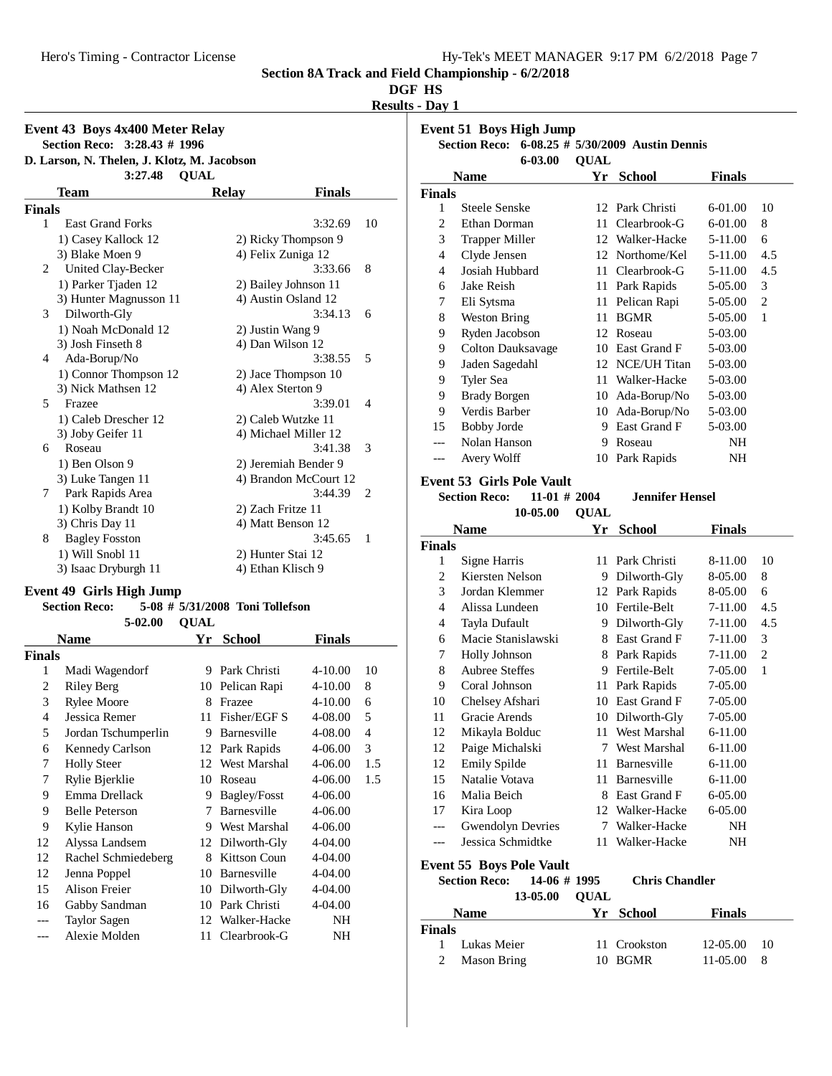# **DGF HS**

**Results - Day 1**

|        | Event 43 Boys 4x400 Meter Relay                        |                   |                       |                |
|--------|--------------------------------------------------------|-------------------|-----------------------|----------------|
|        | Section Reco: 3:28.43 # 1996                           |                   |                       |                |
|        | D. Larson, N. Thelen, J. Klotz, M. Jacobson<br>3:27.48 | <b>OUAL</b>       |                       |                |
|        | Team                                                   | <b>Relay</b>      | <b>Finals</b>         |                |
| Finals |                                                        |                   |                       |                |
| 1      | <b>East Grand Forks</b>                                |                   | 3:32.69               | 10             |
|        | 1) Casey Kallock 12                                    |                   | 2) Ricky Thompson 9   |                |
|        | 3) Blake Moen 9                                        |                   | 4) Felix Zuniga 12    |                |
| 2      | United Clay-Becker                                     |                   | 3:33.66               | 8              |
|        | 1) Parker Tjaden 12                                    |                   | 2) Bailey Johnson 11  |                |
|        | 3) Hunter Magnusson 11                                 |                   | 4) Austin Osland 12   |                |
| 3      | Dilworth-Gly                                           |                   | 3:34.13               | 6              |
|        | 1) Noah McDonald 12                                    | 2) Justin Wang 9  |                       |                |
|        | 3) Josh Finseth 8                                      | 4) Dan Wilson 12  |                       |                |
| 4      | Ada-Borup/No                                           |                   | 3:38.55               | 5              |
|        | 1) Connor Thompson 12                                  |                   | 2) Jace Thompson 10   |                |
|        | 3) Nick Mathsen 12                                     | 4) Alex Sterton 9 |                       |                |
| 5      | Frazee                                                 |                   | 3:39.01               | $\overline{4}$ |
|        | 1) Caleb Drescher 12                                   |                   | 2) Caleb Wutzke 11    |                |
|        | 3) Joby Geifer 11                                      |                   | 4) Michael Miller 12  |                |
| 6      | Roseau                                                 |                   | 3:41.38               | 3              |
|        | 1) Ben Olson 9                                         |                   | 2) Jeremiah Bender 9  |                |
|        | 3) Luke Tangen 11                                      |                   | 4) Brandon McCourt 12 |                |
| 7      | Park Rapids Area                                       |                   | 3:44.39               | 2              |
|        | 1) Kolby Brandt 10                                     | 2) Zach Fritze 11 |                       |                |
|        | 3) Chris Day 11                                        |                   | 4) Matt Benson 12     |                |
| 8      | <b>Bagley Fosston</b>                                  |                   | 3:45.65               | 1              |
|        | 1) Will Snobl 11                                       | 2) Hunter Stai 12 |                       |                |
|        | 3) Isaac Dryburgh 11                                   | 4) Ethan Klisch 9 |                       |                |
|        |                                                        |                   |                       |                |

# **Event 49 Girls High Jump**

| <b>Section Reco:</b> |                |           | 5-08 # 5/31/2008 Toni Tollefson |  |
|----------------------|----------------|-----------|---------------------------------|--|
|                      | $5-02.00$ OUAL |           |                                 |  |
| Name                 |                | Vr School |                                 |  |

|                | School<br>Name<br>Yr<br>Finals |    |                     |             |     |
|----------------|--------------------------------|----|---------------------|-------------|-----|
| <b>Finals</b>  |                                |    |                     |             |     |
| 1              | Madi Wagendorf                 | 9  | Park Christi        | $4 - 10.00$ | 10  |
| $\overline{c}$ | Riley Berg                     | 10 | Pelican Rapi        | $4 - 10.00$ | 8   |
| 3              | <b>Rylee Moore</b>             | 8  | Frazee              | $4 - 10.00$ | 6   |
| 4              | Jessica Remer                  | 11 | Fisher/EGF S        | 4-08.00     | 5   |
| 5              | Jordan Tschumperlin            | 9  | Barnesville         | 4-08.00     | 4   |
| 6              | <b>Kennedy Carlson</b>         | 12 | Park Rapids         | 4-06.00     | 3   |
| 7              | <b>Holly Steer</b>             | 12 | West Marshal        | 4-06.00     | 1.5 |
| 7              | Rylie Bjerklie                 | 10 | Roseau              | 4-06.00     | 1.5 |
| 9              | Emma Drellack                  | 9  | Bagley/Fosst        | 4-06.00     |     |
| 9              | <b>Belle Peterson</b>          | 7  | Barnesville         | 4-06.00     |     |
| 9              | Kylie Hanson                   | 9  | West Marshal        | 4-06.00     |     |
| 12             | Alyssa Landsem                 | 12 | Dilworth-Gly        | 4-04.00     |     |
| 12             | Rachel Schmiedeberg            | 8  | <b>Kittson Coun</b> | 4-04.00     |     |
| 12             | Jenna Poppel                   | 10 | Barnesville         | 4-04.00     |     |
| 15             | <b>Alison Freier</b>           | 10 | Dilworth-Gly        | 4-04.00     |     |
| 16             | Gabby Sandman                  | 10 | Park Christi        | $4 - 04.00$ |     |
|                | <b>Taylor Sagen</b>            | 12 | Walker-Hacke        | NΗ          |     |
|                | Alexie Molden                  | 11 | Clearbrook-G        | NΗ          |     |

| <b>Event 51 Boys High Jump</b> |                                        |             |                                   |               |                |  |
|--------------------------------|----------------------------------------|-------------|-----------------------------------|---------------|----------------|--|
|                                | <b>Section Reco:</b>                   |             | 6-08.25 # 5/30/2009 Austin Dennis |               |                |  |
|                                | 6-03.00                                | <b>QUAL</b> |                                   |               |                |  |
| <b>Finals</b>                  | <b>Name</b>                            |             | Yr School                         | <b>Finals</b> |                |  |
| 1                              | <b>Steele Senske</b>                   |             | 12 Park Christi                   | 6-01.00       | 10             |  |
| $\overline{2}$                 | Ethan Dorman                           | 11          | Clearbrook-G                      | 6-01.00       | 8              |  |
| 3                              | <b>Trapper Miller</b>                  |             | 12 Walker-Hacke                   | 5-11.00       | 6              |  |
| 4                              | Clyde Jensen                           |             | 12 Northome/Kel                   | 5-11.00       | 4.5            |  |
| 4                              | Josiah Hubbard                         |             | 11 Clearbrook-G                   | 5-11.00       | 4.5            |  |
| 6                              | Jake Reish                             | 11          | Park Rapids                       | 5-05.00       | 3              |  |
| 7                              | Eli Sytsma                             | 11          | Pelican Rapi                      | 5-05.00       | 2              |  |
| 8                              | <b>Weston Bring</b>                    | 11          | <b>BGMR</b>                       | 5-05.00       | 1              |  |
| 9                              | Ryden Jacobson                         |             | 12 Roseau                         | 5-03.00       |                |  |
| 9                              | <b>Colton Dauksavage</b>               |             | 10 East Grand F                   | 5-03.00       |                |  |
| 9                              | Jaden Sagedahl                         | 12          | NCE/UH Titan                      | 5-03.00       |                |  |
| 9                              | Tyler Sea                              | 11          | Walker-Hacke                      | 5-03.00       |                |  |
| 9                              | <b>Brady Borgen</b>                    | 10          | Ada-Borup/No                      | 5-03.00       |                |  |
| 9                              | Verdis Barber                          | 10          | Ada-Borup/No                      | 5-03.00       |                |  |
| 15                             | <b>Bobby Jorde</b>                     |             | 9 East Grand F                    | 5-03.00       |                |  |
| ---                            | Nolan Hanson                           | 9           | Roseau                            | NΗ            |                |  |
| $---$                          | Avery Wolff                            | 10          | Park Rapids                       | NH            |                |  |
|                                |                                        |             |                                   |               |                |  |
|                                | <b>Event 53 Girls Pole Vault</b>       |             |                                   |               |                |  |
|                                | $11-01$ # 2004<br><b>Section Reco:</b> |             | <b>Jennifer Hensel</b>            |               |                |  |
|                                | 10-05.00                               | <b>QUAL</b> |                                   |               |                |  |
| <b>Finals</b>                  | <b>Name</b>                            | Yr          | <b>School</b>                     | <b>Finals</b> |                |  |
| 1                              | Signe Harris                           | 11          | Park Christi                      | 8-11.00       | 10             |  |
| 2                              | Kiersten Nelson                        |             | 9 Dilworth-Gly                    | 8-05.00       | 8              |  |
| 3                              | Jordan Klemmer                         | 12          | Park Rapids                       | 8-05.00       | 6              |  |
| $\overline{4}$                 | Alissa Lundeen                         |             | 10 Fertile-Belt                   | 7-11.00       | 4.5            |  |
| $\overline{4}$                 | Tayla Dufault                          |             | 9 Dilworth-Gly                    | 7-11.00       | 4.5            |  |
| 6                              | Macie Stanislawski                     | 8           | East Grand F                      | 7-11.00       | 3              |  |
| 7                              | Holly Johnson                          |             | 8 Park Rapids                     | 7-11.00       | $\overline{c}$ |  |
| 8                              | <b>Aubree Steffes</b>                  | 9           | Fertile-Belt                      | 7-05.00       | 1              |  |
| 9                              | Coral Johnson                          | 11          | Park Rapids                       | 7-05.00       |                |  |
| 10                             | Chelsey Afshari                        | 10          | East Grand F                      | 7-05.00       |                |  |
| 11                             | Gracie Arends                          | 10          | Dilworth-Gly                      | 7-05.00       |                |  |
| 12                             | Mikayla Bolduc                         | 11          | West Marshal                      | 6-11.00       |                |  |
| 12                             | Paige Michalski                        | 7           | West Marshal                      | 6-11.00       |                |  |
| 12                             | Emily Spilde                           | 11          | Barnesville                       | 6-11.00       |                |  |
| 15                             | Natalie Votava                         | 11          | Barnesville                       | 6-11.00       |                |  |
| 16                             | Malia Beich                            |             | 8 East Grand F                    | 6-05.00       |                |  |
| 17                             | Kira Loop                              |             | 12 Walker-Hacke                   | 6-05.00       |                |  |
| $---$                          | <b>Gwendolyn Devries</b>               |             | 7 Walker-Hacke                    | NH            |                |  |
| ---                            | Jessica Schmidtke                      | 11          | Walker-Hacke                      | NΗ            |                |  |
|                                |                                        |             |                                   |               |                |  |
|                                | <b>Event 55 Boys Pole Vault</b>        |             |                                   |               |                |  |
|                                | <b>Section Reco:</b><br>14-06 # 1995   |             | <b>Chris Chandler</b>             |               |                |  |
|                                | 13-05.00                               | <b>QUAL</b> |                                   |               |                |  |
|                                | Name                                   |             | Yr School                         | <b>Finals</b> |                |  |
| <b>Finals</b>                  |                                        |             |                                   |               |                |  |
| 1                              | Lukas Meier                            | 11          | Crookston                         | 12-05.00      | 10             |  |
| $\mathfrak{2}$                 | <b>Mason Bring</b>                     | 10          | <b>BGMR</b>                       | 11-05.00      | 8              |  |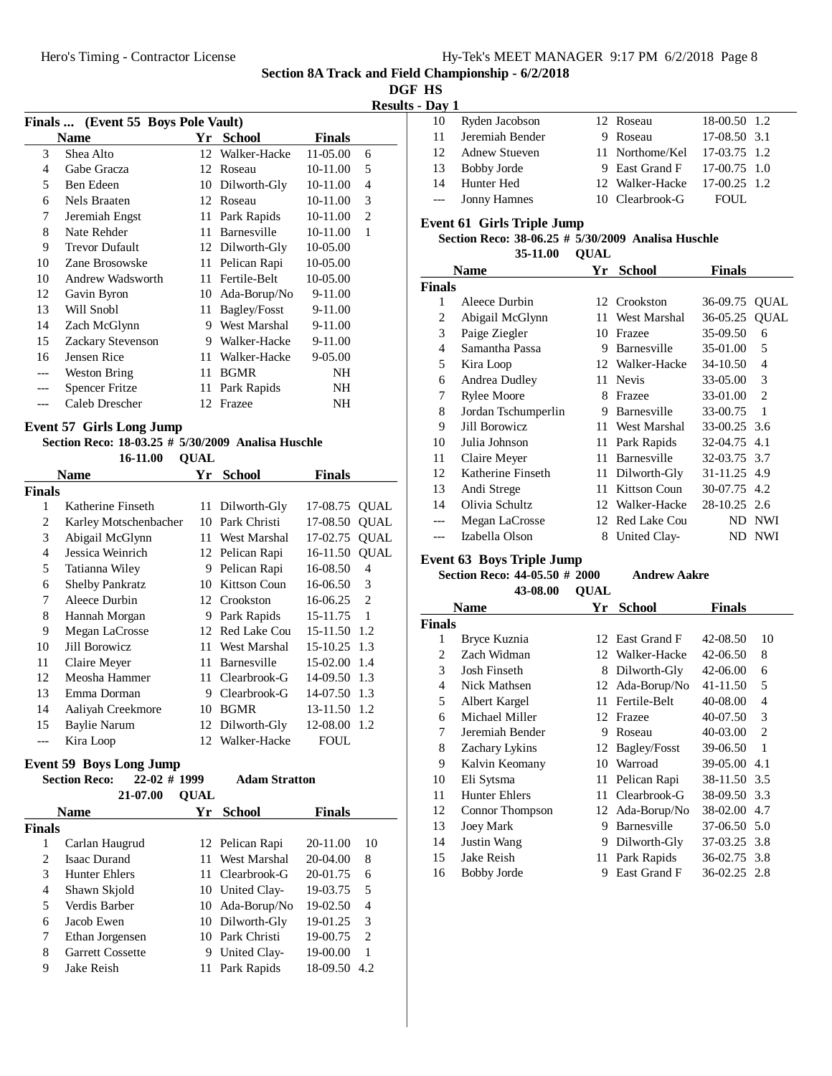**DGF HS**

**Results - Day 1**

|     |                                    |    |                 |               |                | IW3016 - DAY 1     |                   |
|-----|------------------------------------|----|-----------------|---------------|----------------|--------------------|-------------------|
|     | Finals  (Event 55 Boys Pole Vault) |    |                 |               |                | 10                 | Ryde              |
|     | <b>Name</b>                        | Yr | <b>School</b>   | <b>Finals</b> |                | 11                 | Jerer             |
| 3   | Shea Alto                          |    | 12 Walker-Hacke | 11-05.00      | 6              | 12                 | Adne              |
| 4   | Gabe Gracza                        |    | 12 Roseau       | 10-11.00      | 5              | 13                 | <b>Bobl</b>       |
| 5   | Ben Edeen                          |    | 10 Dilworth-Gly | 10-11.00      | $\overline{4}$ | 14                 | Hun               |
| 6   | Nels Braaten                       |    | 12 Roseau       | 10-11.00      | 3              | ---                | Jonn              |
| 7   | Jeremiah Engst                     |    | 11 Park Rapids  | 10-11.00      | $\overline{2}$ | Event 61 (         |                   |
| 8   | Nate Rehder                        | 11 | Barnesville     | 10-11.00      | $\mathbf{1}$   |                    | <b>Section I</b>  |
| 9   | <b>Trevor Dufault</b>              |    | 12 Dilworth-Gly | 10-05.00      |                |                    |                   |
| 10  | Zane Brosowske                     | 11 | Pelican Rapi    | 10-05.00      |                |                    | <b>Name</b>       |
| 10  | Andrew Wadsworth                   | 11 | Fertile-Belt    | 10-05.00      |                |                    |                   |
| 12  | Gavin Byron                        | 10 | Ada-Borup/No    | 9-11.00       |                | <b>Finals</b><br>1 | Alee              |
| 13  | Will Snobl                         | 11 | Bagley/Fosst    | 9-11.00       |                | 2                  |                   |
| 14  | Zach McGlynn                       | 9  | West Marshal    | 9-11.00       |                | 3                  | Abig              |
| 15  | Zackary Stevenson                  | 9  | Walker-Hacke    | 9-11.00       |                | 4                  | Paig              |
| 16  | Jensen Rice                        | 11 | Walker-Hacke    | 9-05.00       |                | 5                  | Sam               |
| --- | Weston Bring                       | 11 | <b>BGMR</b>     | NH            |                |                    | Kira              |
| --- | <b>Spencer Fritze</b>              |    | 11 Park Rapids  | NH            |                | 6                  | Andı              |
| --- | Caleb Drescher                     |    | 12 Frazee       | NH            |                | 7<br>$\Omega$      | Ryle<br>$T = 1$ . |

#### **Event 57 Girls Long Jump**

#### **Section Reco: 18-03.25 #**  $\overline{5/30/2009}$  **Analisa Huschle**

**16-11.00 QUAL** 

|               |                        | <b>School</b><br><b>Name</b><br>Үr |                     | Finals         |                |
|---------------|------------------------|------------------------------------|---------------------|----------------|----------------|
| <b>Finals</b> |                        |                                    |                     |                |                |
| 1             | Katherine Finseth      |                                    | 11 Dilworth-Gly     | 17-08.75       | <b>QUAL</b>    |
| 2             | Karley Motschenbacher  | 10                                 | Park Christi        | 17-08.50       | <b>QUAL</b>    |
| 3             | Abigail McGlynn        | 11                                 | West Marshal        | 17-02.75       | <b>QUAL</b>    |
| 4             | Jessica Weinrich       |                                    | 12 Pelican Rapi     | 16-11.50       | <b>OUAL</b>    |
| 5             | Tatianna Wiley         | 9                                  | Pelican Rapi        | 16-08.50       | 4              |
| 6             | <b>Shelby Pankratz</b> | 10                                 | <b>Kittson Coun</b> | 16-06.50       | $\mathcal{R}$  |
| 7             | Aleece Durbin          |                                    | 12 Crookston        | 16-06.25       | $\mathfrak{D}$ |
| 8             | Hannah Morgan          | 9                                  | Park Rapids         | 15-11.75       | 1              |
| 9             | Megan LaCrosse         | 12                                 | Red Lake Cou        | 15-11.50 1.2   |                |
| 10            | Jill Borowicz          | 11                                 | West Marshal        | $15-10.25$ 1.3 |                |
| 11            | Claire Meyer           | 11                                 | <b>Barnesville</b>  | $15-02.00$     | 1.4            |
| 12            | Meosha Hammer          | 11.                                | Clearbrook-G        | 14-09.50 1.3   |                |
| 13            | Emma Dorman            | 9                                  | Clearbrook-G        | 14-07.50       | 1.3            |
| 14            | Aaliyah Creekmore      | 10                                 | <b>BGMR</b>         | 13-11.50       | 1.2            |
| 15            | <b>Baylie Narum</b>    | 12                                 | Dilworth-Gly        | 12-08.00       | 1.2            |
|               | Kira Loop              | 12.                                | Walker-Hacke        | FOUL.          |                |

# **Event 59 Boys Long Jump**<br>Section Reco: 22-02 # 1999

|                               | 21-07.00                | <b>OUAL</b> |                 |               |                             |
|-------------------------------|-------------------------|-------------|-----------------|---------------|-----------------------------|
|                               | <b>Name</b>             | Yr          | <b>School</b>   | <b>Finals</b> |                             |
| <b>Finals</b>                 |                         |             |                 |               |                             |
| 1                             | Carlan Haugrud          |             | 12 Pelican Rapi | $20 - 11.00$  | 10                          |
| $\mathfrak{D}_{\mathfrak{p}}$ | <b>Isaac Durand</b>     | 11          | West Marshal    | $20-04.00$    | 8                           |
| 3                             | <b>Hunter Ehlers</b>    |             | 11 Clearbrook-G | 20-01.75      | 6                           |
| 4                             | Shawn Skjold            |             | 10 United Clay- | 19-03.75      | 5                           |
| 5                             | Verdis Barber           |             | 10 Ada-Borup/No | 19-02.50      | 4                           |
| 6                             | Jacob Ewen              |             | 10 Dilworth-Gly | 19-01.25      | 3                           |
| 7                             | Ethan Jorgensen         |             | 10 Park Christi | 19-00.75      | $\mathcal{D}_{\mathcal{L}}$ |
| 8                             | <b>Garrett Cossette</b> | 9           | United Clay-    | 19-00.00      | 1                           |
| 9                             | Jake Reish              | 11          | Park Rapids     | 18-09.50      | 4.2.                        |

**Adam Stratton** 

| 10 | Ryden Jacobson   | 12 Roseau                    | 18-00.50 1.2   |
|----|------------------|------------------------------|----------------|
| 11 | Jeremiah Bender  | 9 Roseau                     | 17-08.50 3.1   |
| 12 | Adnew Stueven    | 11 Northome/Kel 17-03.75 1.2 |                |
| 13 | Bobby Jorde      | 9 East Grand F 17-00.75 1.0  |                |
| 14 | Hunter Hed       | 12 Walker-Hacke              | $17-00.25$ 1.2 |
|    | --- Jonny Hamnes | 10 Clearbrook-G              | FOUL.          |
|    |                  |                              |                |

# **Eirls Triple Jump**

#### **Reco: 38-06.25 # 5/30/2009 Analisa Huschle QUAL35-11.00**

|        | Name                | Yr | <b>School</b>      | Finals       |                |
|--------|---------------------|----|--------------------|--------------|----------------|
| Finals |                     |    |                    |              |                |
| 1      | Aleece Durbin       |    | 12 Crookston       | 36-09.75     | QUAL           |
| 2      | Abigail McGlynn     | 11 | West Marshal       | 36-05.25     | <b>QUAL</b>    |
| 3      | Paige Ziegler       | 10 | Frazee             | 35-09.50     | 6              |
| 4      | Samantha Passa      | 9  | Barnesville        | 35-01.00     | 5              |
| 5      | Kira Loop           |    | 12 Walker-Hacke    | 34-10.50     | 4              |
| 6      | Andrea Dudley       | 11 | <b>Nevis</b>       | 33-05.00     | 3              |
| 7      | <b>Rylee Moore</b>  | 8  | Frazee             | 33-01.00     | $\overline{c}$ |
| 8      | Jordan Tschumperlin | 9  | <b>Barnesville</b> | 33-00.75     | $\mathbf{1}$   |
| 9      | Jill Borowicz       | 11 | West Marshal       | 33-00.25 3.6 |                |
| 10     | Julia Johnson       | 11 | Park Rapids        | 32-04.75 4.1 |                |
| 11     | Claire Meyer        | 11 | Barnesville        | 32-03.75 3.7 |                |
| 12     | Katherine Finseth   | 11 | Dilworth-Gly       | 31-11.25 4.9 |                |
| 13     | Andi Strege         | 11 | Kittson Coun       | 30-07.75 4.2 |                |
| 14     | Olivia Schultz      | 12 | Walker-Hacke       | 28-10.25 2.6 |                |
| ---    | Megan LaCrosse      | 12 | Red Lake Cou       | ND           | <b>NWI</b>     |
|        | Izabella Olson      | 8  | United Clay-       | ND.          | <b>NWI</b>     |

## **Event 63 Boys Triple Jump**

**Section Reco: 44-05.50 # 2000 Andrew Aakre QUAL43-08.00**

| <b>Name</b>    |                      | Yr | <b>School</b>   | <b>Finals</b> |                |
|----------------|----------------------|----|-----------------|---------------|----------------|
| <b>Finals</b>  |                      |    |                 |               |                |
| 1              | Bryce Kuznia         |    | 12 East Grand F | 42-08.50      | 10             |
| $\mathfrak{2}$ | Zach Widman          |    | 12 Walker-Hacke | 42-06.50      | 8              |
| 3              | Josh Finseth         | 8  | Dilworth-Gly    | 42-06.00      | 6              |
| 4              | Nick Mathsen         | 12 | Ada-Borup/No    | 41-11.50      | 5              |
| 5              | Albert Kargel        | 11 | Fertile-Belt    | 40-08.00      | 4              |
| 6              | Michael Miller       |    | 12 Frazee       | 40-07.50      | 3              |
| 7              | Jeremiah Bender      | 9  | Roseau          | 40-03.00      | $\overline{c}$ |
| 8              | Zachary Lykins       |    | 12 Bagley/Fosst | 39-06.50      | 1              |
| 9              | Kalvin Keomany       | 10 | Warroad         | 39-05.00      | 4.1            |
| 10             | Eli Sytsma           | 11 | Pelican Rapi    | 38-11.50 3.5  |                |
| 11             | <b>Hunter Ehlers</b> | 11 | Clearbrook-G    | 38-09.50 3.3  |                |
| 12             | Connor Thompson      |    | 12 Ada-Borup/No | 38-02.00      | 4.7            |
| 13             | <b>Joey Mark</b>     | 9  | Barnesville     | 37-06.50 5.0  |                |
| 14             | Justin Wang          | 9  | Dilworth-Gly    | 37-03.25 3.8  |                |
| 15             | Jake Reish           | 11 | Park Rapids     | 36-02.75 3.8  |                |
| 16             | <b>Bobby Jorde</b>   | 9  | East Grand F    | 36-02.25 2.8  |                |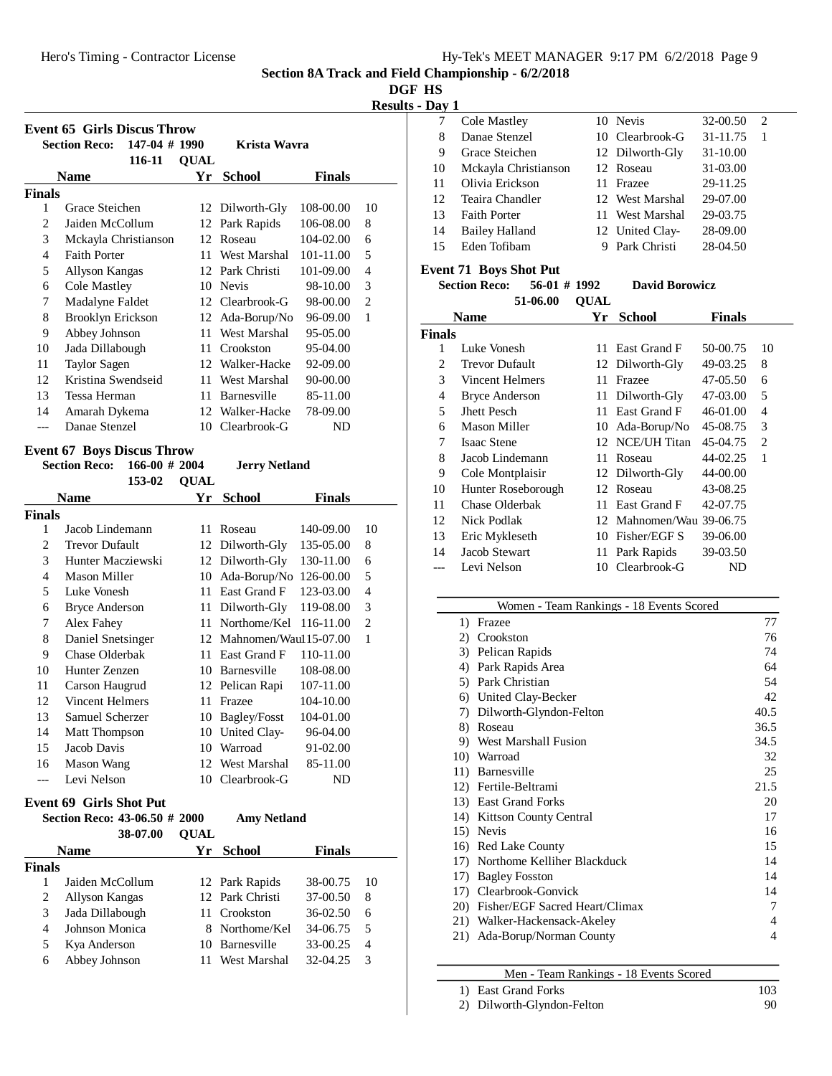Hero's Timing - Contractor License

|  | Hy-Tek's MEET MANAGER 9:17 PM 6/2/2018 Page 9 |  |  |
|--|-----------------------------------------------|--|--|
|  |                                               |  |  |

**Section 8A Track and Field Championship - 6/2/2018**

**DGF HS**

**Results - Day 1**

|                | <b>Event 65 Girls Discus Throw</b>                                           |             |                      |               |                | 7              | Cole Mastley             |
|----------------|------------------------------------------------------------------------------|-------------|----------------------|---------------|----------------|----------------|--------------------------|
|                | $147-04$ # 1990<br><b>Section Reco:</b>                                      |             | <b>Krista Wavra</b>  |               |                | 8              | Danae Stenze             |
|                | 116-11                                                                       | <b>OUAL</b> |                      |               |                | 9              | Grace Steiche            |
|                | <b>Name</b>                                                                  | Yr          | <b>School</b>        | <b>Finals</b> |                | 10             | Mckayla Chri             |
| <b>Finals</b>  |                                                                              |             |                      |               |                | 11             | Olivia Ericks            |
| 1              | Grace Steichen                                                               |             | 12 Dilworth-Gly      | 108-00.00     | 10             | 12             | Teaira Chand             |
| $\overline{c}$ | Jaiden McCollum                                                              |             | 12 Park Rapids       | 106-08.00     | 8              | 13             | <b>Faith Porter</b>      |
| 3              | Mckayla Christianson                                                         |             | 12 Roseau            | 104-02.00     | 6              | 14             | <b>Bailey Hallan</b>     |
| 4              | <b>Faith Porter</b>                                                          | 11          | West Marshal         | 101-11.00     | 5              | 15             | Eden Tofiban             |
| 5              |                                                                              |             | 12 Park Christi      | 101-09.00     | $\overline{4}$ |                | <b>Event 71 Boys Sho</b> |
| 6              | Allyson Kangas                                                               |             | Nevis                |               | 3              |                | <b>Section Reco:</b>     |
|                | <b>Cole Mastley</b>                                                          | 10          | 12 Clearbrook-G      | 98-10.00      | $\overline{2}$ |                | 51                       |
| 7              | Madalyne Faldet                                                              |             |                      | 98-00.00      |                |                |                          |
| 8              | Brooklyn Erickson                                                            |             | 12 Ada-Borup/No      | 96-09.00      | $\mathbf{1}$   |                | <b>Name</b>              |
| 9              | Abbey Johnson                                                                | 11          | West Marshal         | 95-05.00      |                | <b>Finals</b>  |                          |
| 10             | Jada Dillabough                                                              | 11          | Crookston            | 95-04.00      |                | 1              | Luke Vonesh              |
| 11             | <b>Taylor Sagen</b>                                                          |             | 12 Walker-Hacke      | 92-09.00      |                | 2              | <b>Trevor Dufau</b>      |
| 12             | Kristina Swendseid                                                           | 11          | West Marshal         | 90-00.00      |                | 3              | Vincent Helm             |
| 13             | Tessa Herman                                                                 | 11          | Barnesville          | 85-11.00      |                | $\overline{4}$ | <b>Bryce Anders</b>      |
| 14             | Amarah Dykema                                                                |             | 12 Walker-Hacke      | 78-09.00      |                | 5              | Jhett Pesch              |
| $---$          | Danae Stenzel                                                                |             | 10 Clearbrook-G      | ND            |                | 6              | <b>Mason Miller</b>      |
|                |                                                                              |             |                      |               |                | 7              | <b>Isaac Stene</b>       |
|                | <b>Event 67 Boys Discus Throw</b><br><b>Section Reco:</b><br>$166-00$ # 2004 |             |                      |               |                | 8              | Jacob Linden             |
|                |                                                                              |             | <b>Jerry Netland</b> |               |                | 9              | Cole Montpla             |
|                | 153-02                                                                       | <b>OUAL</b> |                      |               |                | 10             | Hunter Roseb             |
|                | <b>Name</b>                                                                  | Yr          | <b>School</b>        | <b>Finals</b> |                | 11             | Chase Olderb             |
| <b>Finals</b>  |                                                                              |             |                      |               |                | 12             | <b>Nick Podlak</b>       |
| 1              | Jacob Lindemann                                                              | 11          | Roseau               | 140-09.00     | 10             | 13             | Eric Myklese             |
| 2              | <b>Trevor Dufault</b>                                                        |             | 12 Dilworth-Gly      | 135-05.00     | 8              | 14             | Jacob Stewart            |
| 3              | Hunter Macziewski                                                            |             | 12 Dilworth-Gly      | 130-11.00     | 6              |                | $L_{\alpha\beta}$ Malaon |

| 1  | Jacob Lindemann       | 11. | Roseau                   | 140-09.00 | 10 |
|----|-----------------------|-----|--------------------------|-----------|----|
| 2  | <b>Trevor Dufault</b> |     | 12 Dilworth-Gly          | 135-05.00 | 8  |
| 3  | Hunter Macziewski     |     | 12 Dilworth-Gly          | 130-11.00 | 6  |
| 4  | Mason Miller          | 10  | Ada-Borup/No             | 126-00.00 | 5  |
| 5  | Luke Vonesh           | 11. | East Grand F             | 123-03.00 | 4  |
| 6  | <b>Bryce Anderson</b> | 11  | Dilworth-Gly             | 119-08.00 | 3  |
| 7  | Alex Fahey            | 11  | Northome/Kel             | 116-11.00 | 2  |
| 8  | Daniel Snetsinger     |     | 12 Mahnomen/Wau115-07.00 |           | 1  |
| 9  | Chase Olderbak        | 11  | East Grand F             | 110-11.00 |    |
| 10 | Hunter Zenzen         | 10  | Barnesville              | 108-08.00 |    |
| 11 | Carson Haugrud        |     | 12 Pelican Rapi          | 107-11.00 |    |
| 12 | Vincent Helmers       | 11. | Frazee                   | 104-10.00 |    |
| 13 | Samuel Scherzer       | 10  | <b>Bagley/Fosst</b>      | 104-01.00 |    |
| 14 | <b>Matt Thompson</b>  |     | 10 United Clay-          | 96-04.00  |    |
| 15 | Jacob Davis           | 10  | Warroad                  | 91-02.00  |    |
| 16 | Mason Wang            |     | 12 West Marshal          | 85-11.00  |    |
|    | Levi Nelson           |     | 10 Clearbrook-G          | ND        |    |

# **Event 69 Girls Shot Put**<br>Soction **Pages** 43.06.50 t

|               | Section Reco: 43-06.50 # 2000<br>38-07.00 | <b>OUAL</b> | <b>Amy Netland</b> |               |    |
|---------------|-------------------------------------------|-------------|--------------------|---------------|----|
|               | <b>Name</b>                               | Yr          | School             | <b>Finals</b> |    |
| <b>Finals</b> |                                           |             |                    |               |    |
|               | Jaiden McCollum                           |             | 12 Park Rapids     | 38-00.75      | 10 |
| 2             | Allyson Kangas                            |             | 12 Park Christi    | 37-00.50      | 8  |
| 3             | Jada Dillabough                           |             | 11 Crookston       | $36-02.50$    | 6  |
| 4             | Johnson Monica                            |             | 8 Northome/Kel     | 34-06.75      | 5  |
| 5             | Kya Anderson                              |             | 10 Barnesville     | 33-00.25      | 4  |
| 6             | Abbey Johnson                             |             | West Marshal       | 32-04.25      | 3  |

|    | Cole Mastley          | 10 Nevis        | 32-00.50 | $\mathfrak{D}_{\mathfrak{p}}$ |  |
|----|-----------------------|-----------------|----------|-------------------------------|--|
| 8  | Danae Stenzel         | 10 Clearbrook-G | 31-11.75 |                               |  |
| 9  | Grace Steichen        | 12 Dilworth-Gly | 31-10.00 |                               |  |
| 10 | Mckayla Christianson  | 12 Roseau       | 31-03.00 |                               |  |
| 11 | Olivia Erickson       | 11 Frazee       | 29-11.25 |                               |  |
| 12 | Teaira Chandler       | 12 West Marshal | 29-07.00 |                               |  |
| 13 | <b>Faith Porter</b>   | 11 West Marshal | 29-03.75 |                               |  |
| 14 | <b>Bailey Halland</b> | 12 United Clay- | 28-09.00 |                               |  |
| 15 | Eden Tofibam          | Park Christi    | 28-04.50 |                               |  |
|    |                       |                 |          |                               |  |

**ot Put**<br>56-01 # 1992 **David Borowicz** -06.00 **QUAL** 

| Name                   | Yr           | <b>School</b> | Finals                                                                                                                                                                  |                          |
|------------------------|--------------|---------------|-------------------------------------------------------------------------------------------------------------------------------------------------------------------------|--------------------------|
|                        |              |               |                                                                                                                                                                         |                          |
| Luke Vonesh            | 11           |               | 50-00.75                                                                                                                                                                | 10                       |
| <b>Trevor Dufault</b>  |              |               | 49-03.25                                                                                                                                                                | 8                        |
| <b>Vincent Helmers</b> | 11           | Frazee        | 47-05.50                                                                                                                                                                | 6                        |
| <b>Bryce Anderson</b>  |              |               | 47-03.00                                                                                                                                                                | 5                        |
| Jhett Pesch            | 11           | East Grand F  | 46-01.00                                                                                                                                                                | 4                        |
| Mason Miller           | 10           |               | 45-08.75                                                                                                                                                                | 3                        |
| <b>Isaac Stene</b>     |              |               | 45-04.75                                                                                                                                                                | $\overline{c}$           |
| Jacob Lindemann        | 11           | Roseau        | 44-02.25                                                                                                                                                                | 1                        |
| Cole Montplaisir       |              |               | 44-00.00                                                                                                                                                                |                          |
| Hunter Roseborough     |              |               | 43-08.25                                                                                                                                                                |                          |
| Chase Olderbak         |              |               | 42-07.75                                                                                                                                                                |                          |
| Nick Podlak            |              |               |                                                                                                                                                                         |                          |
| Eric Mykleseth         | 10           |               | 39-06.00                                                                                                                                                                |                          |
| Jacob Stewart          | 11           |               | 39-03.50                                                                                                                                                                |                          |
| Levi Nelson            | 10           | Clearbrook-G  | ND                                                                                                                                                                      |                          |
|                        | <b>inals</b> |               | East Grand F<br>12 Dilworth-Gly<br>11 Dilworth-Gly<br>Ada-Borup/No<br>12 NCE/UH Titan<br>12 Dilworth-Gly<br>12 Roseau<br>11 East Grand F<br>Fisher/EGF S<br>Park Rapids | 12 Mahnomen/Wau 39-06.75 |

#### Women - Team Rankings - 18 Events Scored 1) Frazee 77 2) Crookston 76 3) Pelican Rapids 74 4) Park Rapids Area 64 5) Park Christian 54 6) United Clay-Becker 42 7) Dilworth-Glyndon-Felton 40.5 8) Roseau 36.5 9) West Marshall Fusion 34.5 10) Warroad 32 11) Barnesville 25 12) Fertile-Beltrami 21.5 13) East Grand Forks 20 14) Kittson County Central 17 15) Nevis 16 16) Red Lake County 15 17) Northome Kelliher Blackduck 14 17) Bagley Fosston 14<br>17) Clearbrook-Gonvick 14 17) Clearbrook-Gonvick 20) Fisher/EGF Sacred Heart/Climax 7 21) Walker-Hackensack-Akeley 4 21) Ada-Borup/Norman County 4

|  | Men - Team Rankings - 18 Events Scored |  |  |
|--|----------------------------------------|--|--|
|  |                                        |  |  |

| 1) East Grand Forks        | 103 |
|----------------------------|-----|
| 2) Dilworth-Glyndon-Felton | 90  |